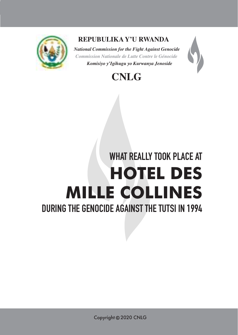

#### **REPUBULIKA Y'U RWANDA**

*Komisiyo y'Igihugu yo Kurwanya Jenoside Commission Nationale de Lutte Contre le Génocide National Commission for the Fight Against Genocide*



## **HOTEL DES WHAT REALLY TOOK PLACE AT MILLE COLLINES DURING THE GENOCIDE AGAINST THE TUTSI IN 1994**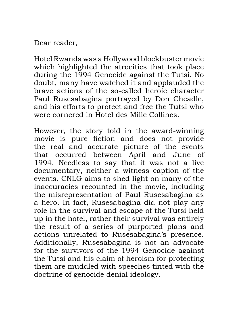Dear reader,

Hotel Rwanda was a Hollywood blockbuster movie which highlighted the atrocities that took place during the 1994 Genocide against the Tutsi. No doubt, many have watched it and applauded the brave actions of the so-called heroic character Paul Rusesabagina portrayed by Don Cheadle, and his efforts to protect and free the Tutsi who were cornered in Hotel des Mille Collines.

However, the story told in the award-winning movie is pure fiction and does not provide the real and accurate picture of the events that occurred between April and June of 1994. Needless to say that it was not a live documentary, neither a witness caption of the events. CNLG aims to shed light on many of the inaccuracies recounted in the movie, including the misrepresentation of Paul Rusesabagina as a hero. In fact, Rusesabagina did not play any role in the survival and escape of the Tutsi held up in the hotel, rather their survival was entirely the result of a series of purported plans and actions unrelated to Rusesabagina's presence. Additionally, Rusesabagina is not an advocate for the survivors of the 1994 Genocide against the Tutsi and his claim of heroism for protecting them are muddled with speeches tinted with the doctrine of genocide denial ideology.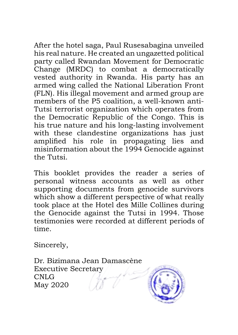After the hotel saga, Paul Rusesabagina unveiled his real nature. He created an ungazetted political party called Rwandan Movement for Democratic Change (MRDC) to combat a democratically vested authority in Rwanda. His party has an armed wing called the National Liberation Front (FLN). His illegal movement and armed group are members of the P5 coalition, a well-known anti-Tutsi terrorist organization which operates from the Democratic Republic of the Congo. This is his true nature and his long-lasting involvement with these clandestine organizations has just amplified his role in propagating lies and misinformation about the 1994 Genocide against the Tutsi.

This booklet provides the reader a series of personal witness accounts as well as other supporting documents from genocide survivors which show a different perspective of what really took place at the Hotel des Mille Collines during the Genocide against the Tutsi in 1994. Those testimonies were recorded at different periods of time.

Sincerely,

Dr. Bizimana Jean Damascène Executive Secretary CNLG May 2020

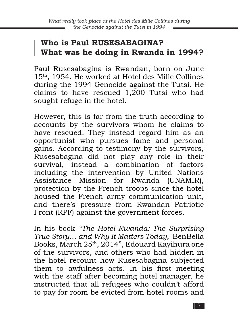### **Who is Paul RUSESABAGINA? What was he doing in Rwanda in 1994?**

Paul Rusesabagina is Rwandan, born on June 15th, 1954. He worked at Hotel des Mille Collines during the 1994 Genocide against the Tutsi. He claims to have rescued 1,200 Tutsi who had sought refuge in the hotel.

However, this is far from the truth according to accounts by the survivors whom he claims to have rescued. They instead regard him as an opportunist who pursues fame and personal gains. According to testimony by the survivors, Rusesabagina did not play any role in their survival, instead a combination of factors including the intervention by United Nations for Rwanda (UNAMIR), protection by the French troops since the hotel housed the French army communication unit, and there's pressure from Rwandan Patriotic Front (RPF) against the government forces.

In his book *"The Hotel Rwanda: The Surprising True Story… and Why It Matters Today,* BenBella Books, March 25th, 2014", Edouard Kayihura one of the survivors, and others who had hidden in the hotel recount how Rusesabagina subjected them to awfulness acts. In his first meeting with the staff after becoming hotel manager, he instructed that all refugees who couldn't afford to pay for room be evicted from hotel rooms and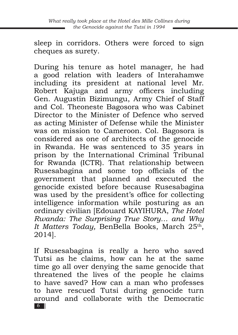sleep in corridors. Others were forced to sign cheques as surety.

During his tenure as hotel manager, he had a good relation with leaders of Interahamwe including its president at national level Mr. Robert Kajuga and army officers including Gen. Augustin Bizimungu, Army Chief of Staff and Col. Theoneste Bagosora who was Cabinet Director to the Minister of Defence who served as acting Minister of Defense while the Minister was on mission to Cameroon. Col. Bagosora is considered as one of architects of the genocide in Rwanda. He was sentenced to 35 years in prison by the International Criminal Tribunal for Rwanda (ICTR). That relationship between Rusesabagina and some top officials of the government that planned and executed the genocide existed before because Rusesabagina was used by the president's office for collecting intelligence information while posturing as an ordinary civilian [Edouard KAYIHURA, *The Hotel Rwanda: The Surprising True Story… and Why It Matters Today,* BenBella Books, March 25th, 2014].

6 If Rusesabagina is really a hero who saved Tutsi as he claims, how can he at the same time go all over denying the same genocide that threatened the lives of the people he claims to have saved? How can a man who professes to have rescued Tutsi during genocide turn around and collaborate with the Democratic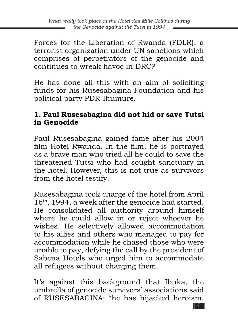Forces for the Liberation of Rwanda (FDLR), a terrorist organization under UN sanctions which comprises of perpetrators of the genocide and continues to wreak havoc in DRC?

He has done all this with an aim of soliciting funds for his Rusesabagina Foundation and his political party PDR-Ihumure.

#### **1. Paul Rusesabagina did not hid or save Tutsi in Genocide**

Paul Rusesabagina gained fame after his 2004 film Hotel Rwanda. In the film, he is portrayed as a brave man who tried all he could to save the threatened Tutsi who had sought sanctuary in the hotel. However, this is not true as survivors from the hotel testify.

Rusesabagina took charge of the hotel from April 16th, 1994, a week after the genocide had started. He consolidated all authority around himself where he could allow in or reject whoever he wishes. He selectively allowed accommodation to his allies and others who managed to pay for accommodation while he chased those who were unable to pay, defying the call by the president of Sabena Hotels who urged him to accommodate all refugees without charging them.

It's against this background that Ibuka, the umbrella of genocide survivors' associations said of RUSESABAGINA: "he has hijacked heroism.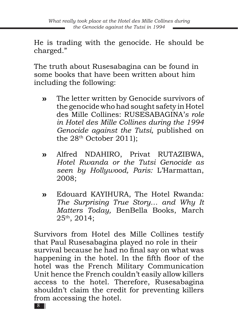He is trading with the genocide. He should be charged."

The truth about Rusesabagina can be found in some books that have been written about him including the following:

- **»** The letter written by Genocide survivors of the genocide who had sought safety in Hotel des Mille Collines: RUSESABAGINA'*s role in Hotel des Mille Collines during the 1994 Genocide against the Tutsi,* published on the 28<sup>th</sup> October 2011);
- **»** Alfred NDAHIRO, Privat RUTAZIBWA, *Hotel Rwanda or the Tutsi Genocide as seen by Hollywood, Paris:* L'Harmattan, 2008;
- **»** Edouard KAYIHURA, The Hotel Rwanda: *The Surprising True Story… and Why It Matters Today,* BenBella Books, March 25th, 2014;

Survivors from Hotel des Mille Collines testify that Paul Rusesabagina played no role in their survival because he had no final say on what was happening in the hotel. In the fifth floor of the hotel was the French Military Communication Unit hence the French couldn't easily allow killers access to the hotel. Therefore, Rusesabagina shouldn't claim the credit for preventing killers from accessing the hotel.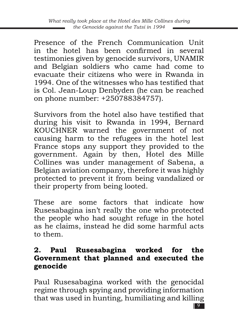Presence of the French Communication Unit in the hotel has been confirmed in several testimonies given by genocide survivors, UNAMIR and Belgian soldiers who came had come to evacuate their citizens who were in Rwanda in 1994. One of the witnesses who has testified that is Col. Jean-Loup Denbyden (he can be reached on phone number: +250788384757).

Survivors from the hotel also have testified that during his visit to Rwanda in 1994, Bernard KOUCHNER warned the government of not causing harm to the refugees in the hotel lest France stops any support they provided to the government. Again by then, Hotel des Mille Collines was under management of Sabena, a Belgian aviation company, therefore it was highly protected to prevent it from being vandalized or their property from being looted.

These are some factors that indicate how Rusesabagina isn't really the one who protected the people who had sought refuge in the hotel as he claims, instead he did some harmful acts to them.

#### **2. Paul Rusesabagina worked for the Government that planned and executed the genocide**

Paul Rusesabagina worked with the genocidal regime through spying and providing information that was used in hunting, humiliating and killing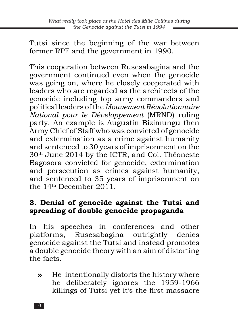Tutsi since the beginning of the war between former RPF and the government in 1990.

This cooperation between Rusesabagina and the government continued even when the genocide was going on, where he closely cooperated with leaders who are regarded as the architects of the genocide including top army commanders and political leaders of the *Mouvement Révolutionnaire National pour le Développement* (MRND) ruling party. An example is Augustin Bizimungu then Army Chief of Staff who was convicted of genocide and extermination as a crime against humanity and sentenced to 30 years of imprisonment on the 30th June 2014 by the ICTR, and Col. Théoneste Bagosora convicted for genocide, extermination and persecution as crimes against humanity, and sentenced to 35 years of imprisonment on the 14th December 2011.

#### **3. Denial of genocide against the Tutsi and spreading of double genocide propaganda**

In his speeches in conferences and other platforms, Rusesabagina outrightly denies genocide against the Tutsi and instead promotes a double genocide theory with an aim of distorting the facts.

**»** He intentionally distorts the history where he deliberately ignores the 1959-1966 killings of Tutsi yet it's the first massacre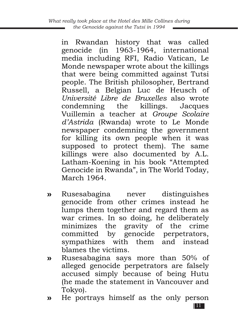in Rwandan history that was called genocide (in 1963-1964, international media including RFI, Radio Vatican, Le Monde newspaper wrote about the killings that were being committed against Tutsi people. The British philosopher, Bertrand Russell, a Belgian Luc de Heusch of *Université Libre de Bruxelles* also wrote condemning the killings. Jacques Vuillemin a teacher at *Groupe Scolaire d'Astrida* (Rwanda) wrote to Le Monde newspaper condemning the government for killing its own people when it was supposed to protect them). The same killings were also documented by A.L. Latham-Koening in his book "Attempted Genocide in Rwanda", in The World Today, March 1964.

- **»** Rusesabagina never distinguishes genocide from other crimes instead he lumps them together and regard them as war crimes. In so doing, he deliberately minimizes the gravity of the crime committed by genocide perpetrators, sympathizes with them and instead blames the victims.
- **»** Rusesabagina says more than 50% of alleged genocide perpetrators are falsely accused simply because of being Hutu (he made the statement in Vancouver and Tokyo).
- **»** He portrays himself as the only person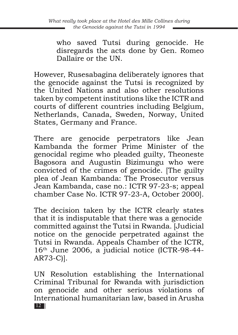who saved Tutsi during genocide. He disregards the acts done by Gen. Romeo Dallaire or the UN.

However, Rusesabagina deliberately ignores that the genocide against the Tutsi is recognized by the United Nations and also other resolutions taken by competent institutions like the ICTR and courts of different countries including Belgium, Netherlands, Canada, Sweden, Norway, United States, Germany and France.

There are genocide perpetrators like Jean Kambanda the former Prime Minister of the genocidal regime who pleaded guilty, Theoneste Bagosora and Augustin Bizimungu who were convicted of the crimes of genocide. [The guilty plea of Jean Kambanda: The Prosecutor versus Jean Kambanda, case no.: ICTR 97-23-s; appeal chamber Case No. ICTR 97-23-A, October 2000].

The decision taken by the ICTR clearly states that it is indisputable that there was a genocide committed against the Tutsi in Rwanda. [Judicial notice on the genocide perpetrated against the Tutsi in Rwanda. Appeals Chamber of the ICTR, 16th June 2006, a judicial notice (ICTR-98-44- AR73-C)].

12 UN Resolution establishing the International Criminal Tribunal for Rwanda with jurisdiction on genocide and other serious violations of International humanitarian law, based in Arusha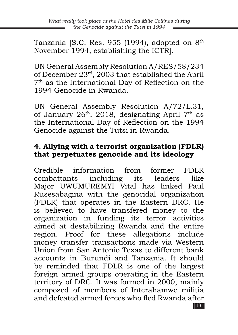Tanzania [S.C. Res. 955 (1994), adopted on 8<sup>th</sup> November 1994, establishing the ICTR].

UN General Assembly Resolution A/RES/58/234 of December 23rd, 2003 that established the April 7th as the International Day of Reflection on the 1994 Genocide in Rwanda.

UN General Assembly Resolution A/72/L.31, of January 26<sup>th</sup>, 2018, designating April  $7<sup>th</sup>$  as the International Day of Reflection on the 1994 Genocide against the Tutsi in Rwanda.

#### **4. Allying with a terrorist organization (FDLR) that perpetuates genocide and its ideology**

Credible information from former FDLR combattants including its leaders like Major UWUMUREMYI Vital has linked Paul Rusesabagina with the genocidal organization (FDLR) that operates in the Eastern DRC. He is believed to have transfered money to the organization in funding its terror activities aimed at destabilizing Rwanda and the entire region. Proof for these allegations include money transfer transactions made via Western Union from San Antonio Texas to different bank accounts in Burundi and Tanzania. It should be reminded that FDLR is one of the largest foreign armed groups operating in the Eastern territory of DRC. It was formed in 2000, mainly composed of members of Interahamwe militia and defeated armed forces who fled Rwanda after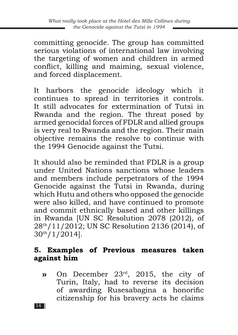committing genocide. The group has committed serious violations of international law involving the targeting of women and children in armed conflict, killing and maiming, sexual violence, and forced displacement.

It harbors the genocide ideology which it continues to spread in territories it controls. It still advocates for extermination of Tutsi in Rwanda and the region. The threat posed by armed genocidal forces of FDLR and allied groups is very real to Rwanda and the region. Their main objective remains the resolve to continue with the 1994 Genocide against the Tutsi.

It should also be reminded that FDLR is a group under United Nations sanctions whose leaders and members include perpetrators of the 1994 Genocide against the Tutsi in Rwanda, during which Hutu and others who opposed the genocide were also killed, and have continued to promote and commit ethnically based and other killings in Rwanda [UN SC Resolution 2078 (2012), of 28th/11/2012; UN SC Resolution 2136 (2014), of  $30<sup>th</sup>/1/2014$ ].

#### **5. Examples of Previous measures taken against him**

**»** On December 23rd, 2015, the city of Turin, Italy, had to reverse its decision of awarding Rusesabagina a honorific citizenship for his bravery acts he claims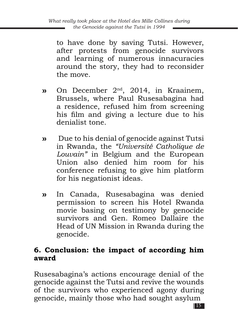to have done by saving Tutsi. However, after protests from genocide survivors and learning of numerous innacuracies around the story, they had to reconsider the move.

- **»** On December 2nd, 2014, in Kraainem, Brussels, where Paul Rusesabagina had a residence, refused him from screening his film and giving a lecture due to his denialist tone.
- **»** Due to his denial of genocide against Tutsi in Rwanda, the *"Université Catholique de Louvain"* in Belgium and the European Union also denied him room for his conference refusing to give him platform for his negationist ideas.
- **»** In Canada, Rusesabagina was denied permission to screen his Hotel Rwanda movie basing on testimony by genocide survivors and Gen. Romeo Dallaire the Head of UN Mission in Rwanda during the genocide.

#### **6. Conclusion: the impact of according him award**

Rusesabagina's actions encourage denial of the genocide against the Tutsi and revive the wounds of the survivors who experienced agony during genocide, mainly those who had sought asylum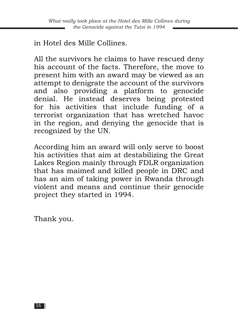in Hotel des Mille Collines.

All the survivors he claims to have rescued deny his account of the facts. Therefore, the move to present him with an award may be viewed as an attempt to denigrate the account of the survivors and also providing a platform to genocide denial. He instead deserves being protested for his activities that include funding of a terrorist organization that has wretched havoc in the region, and denying the genocide that is recognized by the UN.

According him an award will only serve to boost his activities that aim at destabilizing the Great Lakes Region mainly through FDLR organization that has maimed and killed people in DRC and has an aim of taking power in Rwanda through violent and means and continue their genocide project they started in 1994.

Thank you.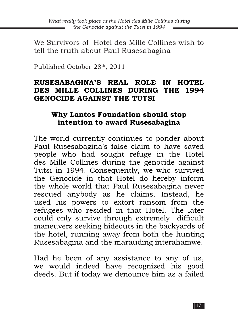We Survivors of Hotel des Mille Collines wish to tell the truth about Paul Rusesabagina

Published October 28th, 2011

#### **RUSESABAGINA'S REAL ROLE IN HOTEL DES MILLE COLLINES DURING THE 1994 GENOCIDE AGAINST THE TUTSI**

#### **Why Lantos Foundation should stop intention to award Rusesabagina**

The world currently continues to ponder about Paul Rusesabagina's false claim to have saved people who had sought refuge in the Hotel des Mille Collines during the genocide against Tutsi in 1994. Consequently, we who survived the Genocide in that Hotel do hereby inform the whole world that Paul Rusesabagina never rescued anybody as he claims. Instead, he used his powers to extort ransom from the refugees who resided in that Hotel. The later could only survive through extremely difficult maneuvers seeking hideouts in the backyards of the hotel, running away from both the hunting Rusesabagina and the marauding interahamwe.

Had he been of any assistance to any of us, we would indeed have recognized his good deeds. But if today we denounce him as a failed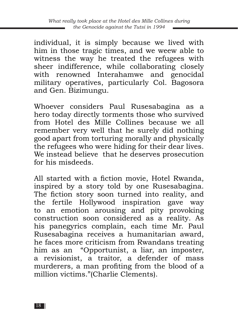individual, it is simply because we lived with him in those tragic times, and we weew able to witness the way he treated the refugees with sheer indifference, while collaborating closely with renowned Interahamwe and genocidal military operatives, particularly Col. Bagosora and Gen. Bizimungu.

Whoever considers Paul Rusesabagina as a hero today directly torments those who survived from Hotel des Mille Collines because we all remember very well that he surely did nothing good apart from torturing morally and physically the refugees who were hiding for their dear lives. We instead believe that he deserves prosecution for his misdeeds.

All started with a fiction movie, Hotel Rwanda, inspired by a story told by one Rusesabagina. The fiction story soon turned into reality, and the fertile Hollywood inspiration gave way to an emotion arousing and pity provoking construction soon considered as a reality. As his panegyrics complain, each time Mr. Paul Rusesabagina receives a humanitarian award, he faces more criticism from Rwandans treating him as an "Opportunist, a liar, an imposter, a revisionist, a traitor, a defender of mass murderers, a man profiting from the blood of a million victims."(Charlie Clements).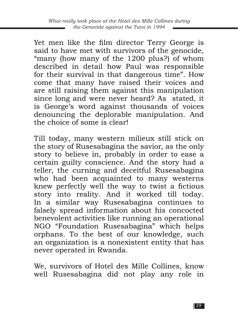Yet men like the film director Terry George is said to have met with survivors of the genocide, "many (how many of the 1200 plus?) of whom described in detail how Paul was responsible for their survival in that dangerous time". How come that many have raised their voices and are still raising them against this manipulation since long and were never heard? As stated, it is George's word against thousands of voices denouncing the deplorable manipulation. And the choice of some is clear!

Till today, many western milieux still stick on the story of Rusesabagina the savior, as the only story to believe in, probably in order to ease a certain guilty conscience. And the story had a teller, the curning and deceitful Rusesabagina who had been acquainted to many westerns knew perfectly well the way to twist a fictious story into reality. And it worked till today. In a similar way Rusesabagina continues to falsely spread information about his concocted benevolent activities like running an operational NGO "Foundation Rusesabagina" which helps orphans. To the best of our knowledge, such an organization is a nonexistent entity that has never operated in Rwanda.

We, survivors of Hotel des Mille Collines, know well Rusesabagina did not play any role in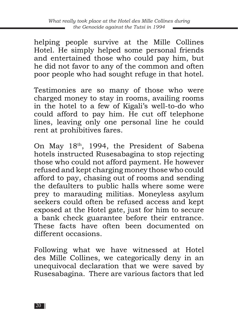helping people survive at the Mille Collines Hotel. He simply helped some personal friends and entertained those who could pay him, but he did not favor to any of the common and often poor people who had sought refuge in that hotel.

Testimonies are so many of those who were charged money to stay in rooms, availing rooms in the hotel to a few of Kigali's well-to-do who could afford to pay him. He cut off telephone lines, leaving only one personal line he could rent at prohibitives fares.

On May 18th, 1994, the President of Sabena hotels instructed Rusesabagina to stop rejecting those who could not afford payment. He however refused and kept charging money those who could afford to pay, chasing out of rooms and sending the defaulters to public halls where some were prey to marauding militias. Moneyless asylum seekers could often be refused access and kept exposed at the Hotel gate, just for him to secure a bank check guarantee before their entrance. These facts have often been documented on different occasions.

Following what we have witnessed at Hotel des Mille Collines, we categorically deny in an unequivocal declaration that we were saved by Rusesabagina. There are various factors that led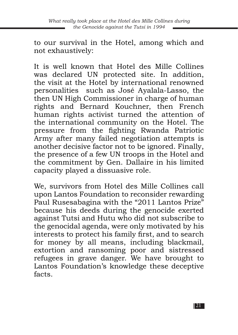to our survival in the Hotel, among which and not exhaustively:

It is well known that Hotel des Mille Collines was declared UN protected site. In addition, the visit at the Hotel by international renowned personalities such as José Ayalala-Lasso, the then UN High Commissioner in charge of human rights and Bernard Kouchner, then French human rights activist turned the attention of the international community on the Hotel. The pressure from the fighting Rwanda Patriotic Army after many failed negotiation attempts is another decisive factor not to be ignored. Finally, the presence of a few UN troops in the Hotel and the commitment by Gen. Dallaire in his limited capacity played a dissuasive role.

We, survivors from Hotel des Mille Collines call upon Lantos Foundation to reconsider rewarding Paul Rusesabagina with the "2011 Lantos Prize" because his deeds during the genocide exerted against Tutsi and Hutu who did not subscribe to the genocidal agenda, were only motivated by his interests to protect his family first, and to search for money by all means, including blackmail, extortion and ransoming poor and sistressed refugees in grave danger. We have brought to Lantos Foundation's knowledge these deceptive facts.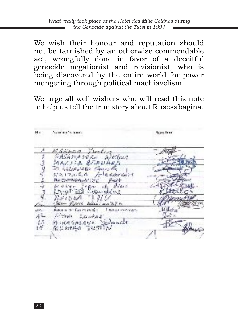We wish their honour and reputation should not be tarnished by an otherwise commendable act, wrongfully done in favor of a deceitful genocide negationist and revisionist, who is being discovered by the entire world for power mongering through political machiavelism.

We urge all well wishers who will read this note to help us tell the true story about Rusesabagina.

Sample Victoria **Qastini** Section 分かぶんかくさ かんえい Dellar. Called Art Males MACILA BERNARD 10. Gillery Abr 12  $K^2, 17, 17, 6, 6$ - le Kohrigi i 1 **HACKPROMIASS** Marye Jega ite Pier  $25 - 91 = 21$ ារ REIDER DELL'ANNO **John Schools** There were an  $\mathcal{M}$ AL Home Lawher 15 MINAGASANA Selenate ACCOMMO TRESTIN 10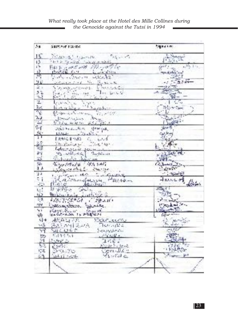*What really took place at the Hotel des Mille Collines during the Genocide against the Tutsi in 1994*

|            | An annual rapids                                                                                                                                                                                                                                                                                                                                                                                                                                                                                   | <b>Superint</b>                                                                                                                                                                      |
|------------|----------------------------------------------------------------------------------------------------------------------------------------------------------------------------------------------------------------------------------------------------------------------------------------------------------------------------------------------------------------------------------------------------------------------------------------------------------------------------------------------------|--------------------------------------------------------------------------------------------------------------------------------------------------------------------------------------|
| 15         | marginana harin                                                                                                                                                                                                                                                                                                                                                                                                                                                                                    | $\frac{1}{\sqrt{2}}$                                                                                                                                                                 |
| 15.        | THE STATE COMPANY                                                                                                                                                                                                                                                                                                                                                                                                                                                                                  |                                                                                                                                                                                      |
| 萍          | bios contant Magnetic.<br>Botek ia                                                                                                                                                                                                                                                                                                                                                                                                                                                                 | $\frac{1}{2}$<br>aby the                                                                                                                                                             |
|            |                                                                                                                                                                                                                                                                                                                                                                                                                                                                                                    |                                                                                                                                                                                      |
|            | but when a speak                                                                                                                                                                                                                                                                                                                                                                                                                                                                                   |                                                                                                                                                                                      |
| si.        | about 100 the grant                                                                                                                                                                                                                                                                                                                                                                                                                                                                                | $-124$                                                                                                                                                                               |
| 25         | Samayonna Chuach<br>Raibh an Airean                                                                                                                                                                                                                                                                                                                                                                                                                                                                |                                                                                                                                                                                      |
|            |                                                                                                                                                                                                                                                                                                                                                                                                                                                                                                    |                                                                                                                                                                                      |
| 马马拉克特      |                                                                                                                                                                                                                                                                                                                                                                                                                                                                                                    |                                                                                                                                                                                      |
|            | kandar Sport<br>Kota Seri Magalan                                                                                                                                                                                                                                                                                                                                                                                                                                                                  | $+1.45$                                                                                                                                                                              |
|            |                                                                                                                                                                                                                                                                                                                                                                                                                                                                                                    | <b>King</b>                                                                                                                                                                          |
|            | Constitution Court<br>Statement Politics<br>$\mathcal{C}(\mathcal{C}) \cong \mathcal{C}(\mathcal{C})$                                                                                                                                                                                                                                                                                                                                                                                              |                                                                                                                                                                                      |
|            |                                                                                                                                                                                                                                                                                                                                                                                                                                                                                                    | <b>Tues</b>                                                                                                                                                                          |
|            |                                                                                                                                                                                                                                                                                                                                                                                                                                                                                                    |                                                                                                                                                                                      |
| 87         | apis manuface of except.<br>When we have                                                                                                                                                                                                                                                                                                                                                                                                                                                           | Sheep 1                                                                                                                                                                              |
| ¥          |                                                                                                                                                                                                                                                                                                                                                                                                                                                                                                    | 物                                                                                                                                                                                    |
|            | ERMIGHTED TO GARD                                                                                                                                                                                                                                                                                                                                                                                                                                                                                  |                                                                                                                                                                                      |
| į          | Statistics of States                                                                                                                                                                                                                                                                                                                                                                                                                                                                               |                                                                                                                                                                                      |
|            | Released formation                                                                                                                                                                                                                                                                                                                                                                                                                                                                                 |                                                                                                                                                                                      |
| 遊          |                                                                                                                                                                                                                                                                                                                                                                                                                                                                                                    |                                                                                                                                                                                      |
|            |                                                                                                                                                                                                                                                                                                                                                                                                                                                                                                    |                                                                                                                                                                                      |
| ų,<br>14   |                                                                                                                                                                                                                                                                                                                                                                                                                                                                                                    | <b>SOUTH</b>                                                                                                                                                                         |
| Эà         | $\begin{array}{l} \frac{\partial^2 \phi_1}{\partial x_1^2} = \frac{\partial^2 \phi_1}{\partial x_1^2} = \frac{\partial^2 \phi_1}{\partial x_1^2} = \frac{\partial^2 \phi_1}{\partial x_1^2} = \frac{\partial^2 \phi_1}{\partial x_1^2} = \frac{\partial^2 \phi_1}{\partial x_1^2} = \frac{\partial^2 \phi_1}{\partial x_1^2} = \frac{\partial^2 \phi_1}{\partial x_1^2} = \frac{\partial^2 \phi_1}{\partial x_1^2} = \frac{\partial^2 \phi_1}{\partial x_1^2} = \frac{\partial^2 \phi_1}{\partial$ | 不分解的                                                                                                                                                                                 |
| t i        |                                                                                                                                                                                                                                                                                                                                                                                                                                                                                                    |                                                                                                                                                                                      |
| ÷,         |                                                                                                                                                                                                                                                                                                                                                                                                                                                                                                    | $-122.56$<br>line.                                                                                                                                                                   |
| Q.         |                                                                                                                                                                                                                                                                                                                                                                                                                                                                                                    |                                                                                                                                                                                      |
|            | Professionale Ladiere                                                                                                                                                                                                                                                                                                                                                                                                                                                                              | 鹨                                                                                                                                                                                    |
| 10<br>्त्र |                                                                                                                                                                                                                                                                                                                                                                                                                                                                                                    |                                                                                                                                                                                      |
| <b>HW</b>  | Lite Without Company<br>Company Save Company<br>Company Company                                                                                                                                                                                                                                                                                                                                                                                                                                    |                                                                                                                                                                                      |
| 55         |                                                                                                                                                                                                                                                                                                                                                                                                                                                                                                    | <b>Southern</b>                                                                                                                                                                      |
| чĿ         |                                                                                                                                                                                                                                                                                                                                                                                                                                                                                                    | fe-                                                                                                                                                                                  |
|            |                                                                                                                                                                                                                                                                                                                                                                                                                                                                                                    |                                                                                                                                                                                      |
|            | 4. ARAY 20 Ber <u>name</u><br>18 Bazartzara Tengara<br>19 Secretar Segundan                                                                                                                                                                                                                                                                                                                                                                                                                        | $\frac{\partial \mathcal{L}(\mathcal{L})}{\partial \mathcal{L}(\mathcal{L})} = \frac{1}{2} \sum_{i=1}^n \frac{\partial \mathcal{L}(\mathcal{L})}{\partial \mathcal{L}(\mathcal{L})}$ |
|            |                                                                                                                                                                                                                                                                                                                                                                                                                                                                                                    |                                                                                                                                                                                      |
|            | 544551<br>$1/6$ and $\sim$                                                                                                                                                                                                                                                                                                                                                                                                                                                                         |                                                                                                                                                                                      |
| 景          | TRET.                                                                                                                                                                                                                                                                                                                                                                                                                                                                                              |                                                                                                                                                                                      |
| 54.        | time o<br>Estation<br>Sultanet<br>Said Police                                                                                                                                                                                                                                                                                                                                                                                                                                                      |                                                                                                                                                                                      |
| CZ.        | Consulto                                                                                                                                                                                                                                                                                                                                                                                                                                                                                           | 海縣                                                                                                                                                                                   |
| iA.        | Mode                                                                                                                                                                                                                                                                                                                                                                                                                                                                                               | $A_{\text{max}}$ and                                                                                                                                                                 |
|            |                                                                                                                                                                                                                                                                                                                                                                                                                                                                                                    |                                                                                                                                                                                      |
|            |                                                                                                                                                                                                                                                                                                                                                                                                                                                                                                    |                                                                                                                                                                                      |
|            |                                                                                                                                                                                                                                                                                                                                                                                                                                                                                                    |                                                                                                                                                                                      |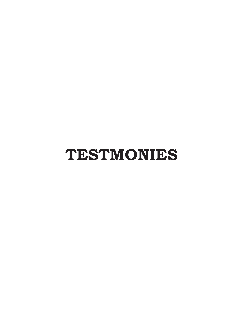# **TESTMONIES**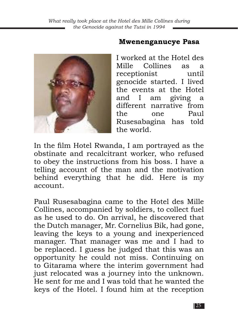

#### **Mwenenganucye Pasa**

I worked at the Hotel des Mille Collines as a receptionist until genocide started. I lived the events at the Hotel and I am giving a different narrative from the one Paul Rusesabagina has told the world.

In the film Hotel Rwanda, I am portrayed as the obstinate and recalcitrant worker, who refused to obey the instructions from his boss. I have a telling account of the man and the motivation behind everything that he did. Here is my account.

Paul Rusesabagina came to the Hotel des Mille Collines, accompanied by soldiers, to collect fuel as he used to do. On arrival, he discovered that the Dutch manager, Mr. Cornelius Bik, had gone, leaving the keys to a young and inexperienced manager. That manager was me and I had to be replaced. I guess he judged that this was an opportunity he could not miss. Continuing on to Gitarama where the interim government had just relocated was a journey into the unknown. He sent for me and I was told that he wanted the keys of the Hotel. I found him at the reception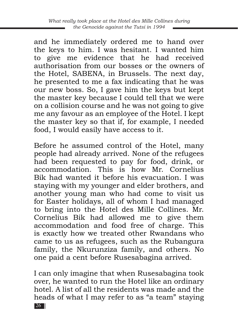and he immediately ordered me to hand over the keys to him. I was hesitant. I wanted him to give me evidence that he had received authorisation from our bosses or the owners of the Hotel, SABENA, in Brussels. The next day, he presented to me a fax indicating that he was our new boss. So, I gave him the keys but kept the master key because I could tell that we were on a collision course and he was not going to give me any favour as an employee of the Hotel. I kept the master key so that if, for example, I needed food, I would easily have access to it.

Before he assumed control of the Hotel, many people had already arrived. None of the refugees had been requested to pay for food, drink, or accommodation. This is how Mr. Cornelius Bik had wanted it before his evacuation. I was staying with my younger and elder brothers, and another young man who had come to visit us for Easter holidays, all of whom I had managed to bring into the Hotel des Mille Collines. Mr. Cornelius Bik had allowed me to give them accommodation and food free of charge. This is exactly how we treated other Rwandans who came to us as refugees, such as the Rubangura family, the Nkurunziza family, and others. No one paid a cent before Rusesabagina arrived.

26 I can only imagine that when Rusesabagina took over, he wanted to run the Hotel like an ordinary hotel. A list of all the residents was made and the heads of what I may refer to as "a team" staying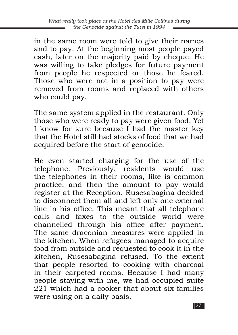in the same room were told to give their names and to pay. At the beginning most people payed cash, later on the majority paid by cheque. He was willing to take pledges for future payment from people he respected or those he feared. Those who were not in a position to pay were removed from rooms and replaced with others who could pay.

The same system applied in the restaurant. Only those who were ready to pay were given food. Yet I know for sure because I had the master key that the Hotel still had stocks of food that we had acquired before the start of genocide.

He even started charging for the use of the telephone. Previously, residents would use the telephones in their rooms, like is common practice, and then the amount to pay would register at the Reception. Rusesabagina decided to disconnect them all and left only one external line in his office. This meant that all telephone calls and faxes to the outside world were channelled through his office after payment. The same draconian measures were applied in the kitchen. When refugees managed to acquire food from outside and requested to cook it in the kitchen, Rusesabagina refused. To the extent that people resorted to cooking with charcoal in their carpeted rooms. Because I had many people staying with me, we had occupied suite 221 which had a cooker that about six families were using on a daily basis.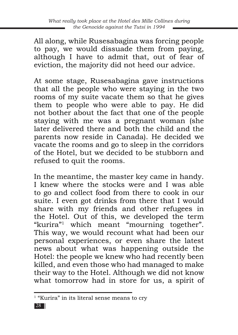All along, while Rusesabagina was forcing people to pay, we would dissuade them from paying, although I have to admit that, out of fear of eviction, the majority did not heed our advice.

At some stage, Rusesabagina gave instructions that all the people who were staying in the two rooms of my suite vacate them so that he gives them to people who were able to pay. He did not bother about the fact that one of the people staying with me was a pregnant woman (she later delivered there and both the child and the parents now reside in Canada). He decided we vacate the rooms and go to sleep in the corridors of the Hotel, but we decided to be stubborn and refused to quit the rooms.

In the meantime, the master key came in handy. I knew where the stocks were and I was able to go and collect food from there to cook in our suite. I even got drinks from there that I would share with my friends and other refugees in the Hotel. Out of this, we developed the term "kurira"1 which meant "mourning together". This way, we would recount what had been our personal experiences, or even share the latest news about what was happening outside the Hotel: the people we knew who had recently been killed, and even those who had managed to make their way to the Hotel. Although we did not know what tomorrow had in store for us, a spirit of

<sup>1 &</sup>quot;Kurira" in its literal sense means to cry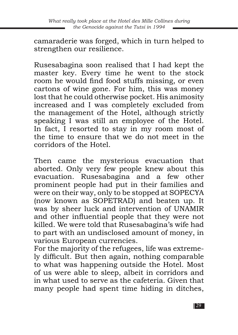camaraderie was forged, which in turn helped to strengthen our resilience.

Rusesabagina soon realised that I had kept the master key. Every time he went to the stock room he would find food stuffs missing, or even cartons of wine gone. For him, this was money lost that he could otherwise pocket. His animosity increased and I was completely excluded from the management of the Hotel, although strictly speaking I was still an employee of the Hotel. In fact, I resorted to stay in my room most of the time to ensure that we do not meet in the corridors of the Hotel.

Then came the mysterious evacuation that aborted. Only very few people knew about this evacuation. Rusesabagina and a few other prominent people had put in their families and were on their way, only to be stopped at SOPECYA (now known as SOPETRAD) and beaten up. It was by sheer luck and intervention of UNAMIR and other influential people that they were not killed. We were told that Rusesabagina's wife had to part with an undisclosed amount of money, in various European currencies.

For the majority of the refugees, life was extremely difficult. But then again, nothing comparable to what was happening outside the Hotel. Most of us were able to sleep, albeit in corridors and in what used to serve as the cafeteria. Given that many people had spent time hiding in ditches,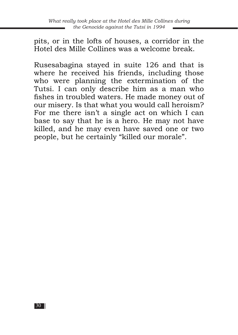pits, or in the lofts of houses, a corridor in the Hotel des Mille Collines was a welcome break.

Rusesabagina stayed in suite 126 and that is where he received his friends, including those who were planning the extermination of the Tutsi. I can only describe him as a man who fishes in troubled waters. He made money out of our misery. Is that what you would call heroism? For me there isn't a single act on which I can base to say that he is a hero. He may not have killed, and he may even have saved one or two people, but he certainly "killed our morale".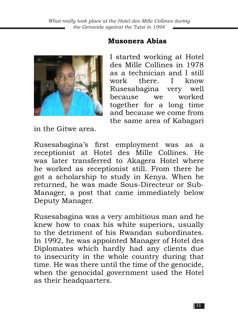

#### **Musonera Abias**

I started working at Hotel des Mille Collines in 1978 as a technician and I still work there. I know Rusesabagina very well because we worked together for a long time and because we come from the same area of Kabagari

in the Gitwe area.

Rusesabagina's first employment was as a receptionist at Hotel des Mille Collines. He was later transferred to Akagera Hotel where he worked as receptionist still. From there he got a scholarship to study in Kenya. When he returned, he was made Sous-Directeur or Sub-Manager, a post that came immediately below Deputy Manager.

Rusesabagina was a very ambitious man and he knew how to coax his white superiors, usually to the detriment of his Rwandan subordinates. In 1992, he was appointed Manager of Hotel des Diplomates which hardly had any clients due to insecurity in the whole country during that time. He was there until the time of the genocide, when the genocidal government used the Hotel as their headquarters.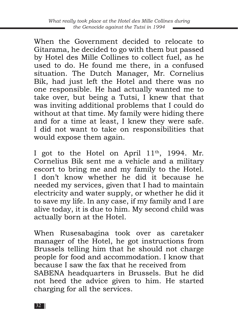When the Government decided to relocate to Gitarama, he decided to go with them but passed by Hotel des Mille Collines to collect fuel, as he used to do. He found me there, in a confused situation. The Dutch Manager, Mr. Cornelius Bik, had just left the Hotel and there was no one responsible. He had actually wanted me to take over, but being a Tutsi, I knew that that was inviting additional problems that I could do without at that time. My family were hiding there and for a time at least, I knew they were safe. I did not want to take on responsibilities that would expose them again.

I got to the Hotel on April  $11<sup>th</sup>$ , 1994. Mr. Cornelius Bik sent me a vehicle and a military escort to bring me and my family to the Hotel. I don't know whether he did it because he needed my services, given that I had to maintain electricity and water supply, or whether he did it to save my life. In any case, if my family and I are alive today, it is due to him. My second child was actually born at the Hotel.

When Rusesabagina took over as caretaker manager of the Hotel, he got instructions from Brussels telling him that he should not charge people for food and accommodation. I know that because I saw the fax that he received from SABENA headquarters in Brussels. But he did not heed the advice given to him. He started charging for all the services.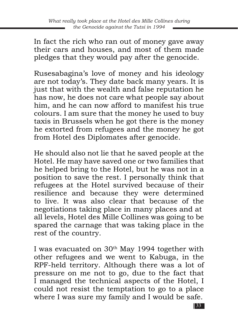In fact the rich who ran out of money gave away their cars and houses, and most of them made pledges that they would pay after the genocide.

Rusesabagina's love of money and his ideology are not today's. They date back many years. It is just that with the wealth and false reputation he has now, he does not care what people say about him, and he can now afford to manifest his true colours. I am sure that the money he used to buy taxis in Brussels when he got there is the money he extorted from refugees and the money he got from Hotel des Diplomates after genocide.

He should also not lie that he saved people at the Hotel. He may have saved one or two families that he helped bring to the Hotel, but he was not in a position to save the rest. I personally think that refugees at the Hotel survived because of their resilience and because they were determined to live. It was also clear that because of the negotiations taking place in many places and at all levels, Hotel des Mille Collines was going to be spared the carnage that was taking place in the rest of the country.

I was evacuated on 30<sup>th</sup> May 1994 together with other refugees and we went to Kabuga, in the RPF-held territory. Although there was a lot of pressure on me not to go, due to the fact that I managed the technical aspects of the Hotel, I could not resist the temptation to go to a place where I was sure my family and I would be safe.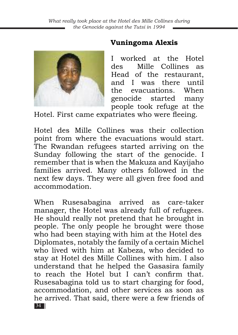

#### **Vuningoma Alexis**

I worked at the Hotel des Mille Collines as Head of the restaurant, and I was there until the evacuations. When genocide started many people took refuge at the

Hotel. First came expatriates who were fleeing.

Hotel des Mille Collines was their collection point from where the evacuations would start. The Rwandan refugees started arriving on the Sunday following the start of the genocide. I remember that is when the Makuza and Kayijaho families arrived. Many others followed in the next few days. They were all given free food and accommodation.

34 When Rusesabagina arrived as care-taker manager, the Hotel was already full of refugees. He should really not pretend that he brought in people. The only people he brought were those who had been staying with him at the Hotel des Diplomates, notably the family of a certain Michel who lived with him at Kabeza, who decided to stay at Hotel des Mille Collines with him. I also understand that he helped the Gasasira family to reach the Hotel but I can't confirm that. Rusesabagina told us to start charging for food, accommodation, and other services as soon as he arrived. That said, there were a few friends of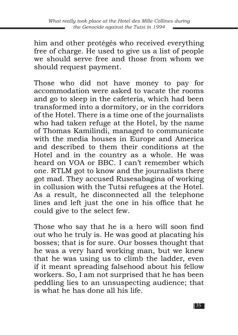him and other protégés who received everything free of charge. He used to give us a list of people we should serve free and those from whom we should request payment.

Those who did not have money to pay for accommodation were asked to vacate the rooms and go to sleep in the cafeteria, which had been transformed into a dormitory, or in the corridors of the Hotel. There is a time one of the journalists who had taken refuge at the Hotel, by the name of Thomas Kamilindi, managed to communicate with the media houses in Europe and America and described to them their conditions at the Hotel and in the country as a whole. He was heard on VOA or BBC. I can't remember which one. RTLM got to know and the journalists there got mad. They accused Rusesabagina of working in collusion with the Tutsi refugees at the Hotel. As a result, he disconnected all the telephone lines and left just the one in his office that he could give to the select few.

Those who say that he is a hero will soon find out who he truly is. He was good at placating his bosses; that is for sure. Our bosses thought that he was a very hard working man, but we knew that he was using us to climb the ladder, even if it meant spreading falsehood about his fellow workers. So, I am not surprised that he has been peddling lies to an unsuspecting audience; that is what he has done all his life.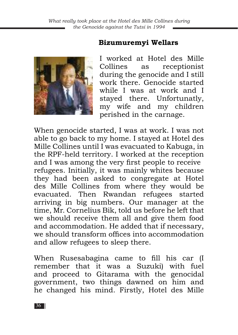

#### **Bizumuremyi Wellars**

I worked at Hotel des Mille Collines as during the genocide and I still work there. Genocide started while I was at work and I stayed there. Unfortunatly, my wife and my children perished in the carnage.

When genocide started, I was at work. I was not able to go back to my home. I stayed at Hotel des Mille Collines until I was evacuated to Kabuga, in the RPF-held territory. I worked at the reception and I was among the very first people to receive refugees. Initially, it was mainly whites because they had been asked to congregate at Hotel des Mille Collines from where they would be evacuated. Then Rwandan refugees started arriving in big numbers. Our manager at the time, Mr. Cornelius Bik, told us before he left that we should receive them all and give them food and accommodation. He added that if necessary, we should transform offices into accommodation and allow refugees to sleep there.

When Rusesabagina came to fill his car (I remember that it was a Suzuki) with fuel and proceed to Gitarama with the genocidal government, two things dawned on him and he changed his mind. Firstly, Hotel des Mille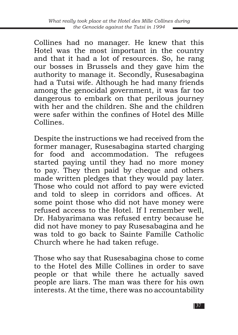Collines had no manager. He knew that this Hotel was the most important in the country and that it had a lot of resources. So, he rang our bosses in Brussels and they gave him the authority to manage it. Secondly, Rusesabagina had a Tutsi wife. Although he had many friends among the genocidal government, it was far too dangerous to embark on that perilous journey with her and the children. She and the children were safer within the confines of Hotel des Mille Collines.

Despite the instructions we had received from the former manager, Rusesabagina started charging for food and accommodation. The refugees started paying until they had no more money to pay. They then paid by cheque and others made written pledges that they would pay later. Those who could not afford to pay were evicted and told to sleep in corridors and offices. At some point those who did not have money were refused access to the Hotel. If I remember well, Dr. Habyarimana was refused entry because he did not have money to pay Rusesabagina and he was told to go back to Sainte Famille Catholic Church where he had taken refuge.

Those who say that Rusesabagina chose to come to the Hotel des Mille Collines in order to save people or that while there he actually saved people are liars. The man was there for his own interests. At the time, there was no accountability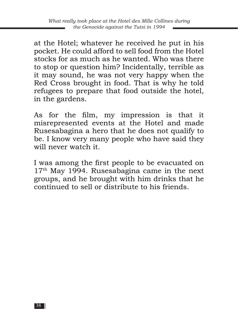at the Hotel; whatever he received he put in his pocket. He could afford to sell food from the Hotel stocks for as much as he wanted. Who was there to stop or question him? Incidentally, terrible as it may sound, he was not very happy when the Red Cross brought in food. That is why he told refugees to prepare that food outside the hotel, in the gardens.

As for the film, my impression is that it misrepresented events at the Hotel and made Rusesabagina a hero that he does not qualify to be. I know very many people who have said they will never watch it.

I was among the first people to be evacuated on 17<sup>th</sup> May 1994. Rusesabagina came in the next groups, and he brought with him drinks that he continued to sell or distribute to his friends.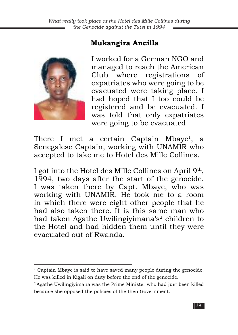

## **Mukangira Ancilla**

I worked for a German NGO and managed to reach the American Club where registrations of expatriates who were going to be evacuated were taking place. I had hoped that I too could be registered and be evacuated. I was told that only expatriates were going to be evacuated.

There I met a certain Captain Mbaye<sup>1</sup>, a Senegalese Captain, working with UNAMIR who accepted to take me to Hotel des Mille Collines.

I got into the Hotel des Mille Collines on April 9<sup>th</sup>, 1994, two days after the start of the genocide. I was taken there by Capt. Mbaye, who was working with UNAMIR. He took me to a room in which there were eight other people that he had also taken there. It is this same man who had taken Agathe Uwilingiyimana's<sup>2</sup> children to the Hotel and had hidden them until they were evacuated out of Rwanda.

<sup>&</sup>lt;sup>1</sup> Captain Mbaye is said to have saved many people during the genocide. He was killed in Kigali on duty before the end of the genocide.

<sup>2</sup> Agathe Uwilingiyimana was the Prime Minister who had just been killed because she opposed the policies of the then Government.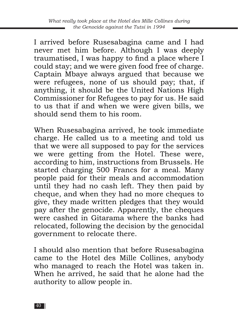I arrived before Rusesabagina came and I had never met him before. Although I was deeply traumatised, I was happy to find a place where I could stay; and we were given food free of charge. Captain Mbaye always argued that because we were refugees, none of us should pay; that, if anything, it should be the United Nations High Commissioner for Refugees to pay for us. He said to us that if and when we were given bills, we should send them to his room.

When Rusesabagina arrived, he took immediate charge. He called us to a meeting and told us that we were all supposed to pay for the services we were getting from the Hotel. These were, according to him, instructions from Brussels. He started charging 500 Francs for a meal. Many people paid for their meals and accommodation until they had no cash left. They then paid by cheque, and when they had no more cheques to give, they made written pledges that they would pay after the genocide. Apparently, the cheques were cashed in Gitarama where the banks had relocated, following the decision by the genocidal government to relocate there.

I should also mention that before Rusesabagina came to the Hotel des Mille Collines, anybody who managed to reach the Hotel was taken in. When he arrived, he said that he alone had the authority to allow people in.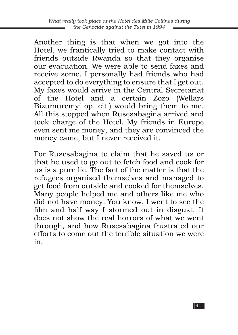Another thing is that when we got into the Hotel, we frantically tried to make contact with friends outside Rwanda so that they organise our evacuation. We were able to send faxes and receive some. I personally had friends who had accepted to do everything to ensure that I get out. My faxes would arrive in the Central Secretariat of the Hotel and a certain Zozo (Wellars Bizumuremyi op. cit.) would bring them to me. All this stopped when Rusesabagina arrived and took charge of the Hotel. My friends in Europe even sent me money, and they are convinced the money came, but I never received it.

For Rusesabagina to claim that he saved us or that he used to go out to fetch food and cook for us is a pure lie. The fact of the matter is that the refugees organised themselves and managed to get food from outside and cooked for themselves. Many people helped me and others like me who did not have money. You know, I went to see the film and half way I stormed out in disgust. It does not show the real horrors of what we went through, and how Rusesabagina frustrated our efforts to come out the terrible situation we were in.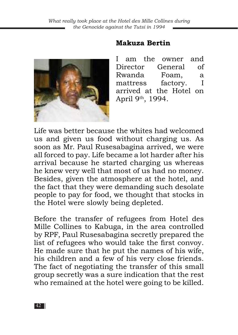

#### **Makuza Bertin**

am the owner and Director General of Rwanda Foam, a mattress factory. I arrived at the Hotel on April 9th, 1994.

Life was better because the whites had welcomed us and given us food without charging us. As soon as Mr. Paul Rusesabagina arrived, we were all forced to pay. Life became a lot harder after his arrival because he started charging us whereas he knew very well that most of us had no money. Besides, given the atmosphere at the hotel, and the fact that they were demanding such desolate people to pay for food, we thought that stocks in the Hotel were slowly being depleted.

Before the transfer of refugees from Hotel des Mille Collines to Kabuga, in the area controlled by RPF, Paul Rusesabagina secretly prepared the list of refugees who would take the first convoy. He made sure that he put the names of his wife, his children and a few of his very close friends. The fact of negotiating the transfer of this small group secretly was a sure indication that the rest who remained at the hotel were going to be killed.

42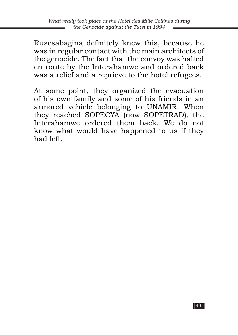Rusesabagina definitely knew this, because he was in regular contact with the main architects of the genocide. The fact that the convoy was halted en route by the Interahamwe and ordered back was a relief and a reprieve to the hotel refugees.

At some point, they organized the evacuation of his own family and some of his friends in an armored vehicle belonging to UNAMIR. When they reached SOPECYA (now SOPETRAD), the Interahamwe ordered them back. We do not know what would have happened to us if they had left.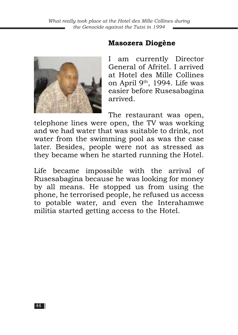

### **Masozera Diogène**

I am currently Director General of Afritel. I arrived at Hotel des Mille Collines on April 9th, 1994. Life was easier before Rusesabagina arrived.

The restaurant was open,

telephone lines were open, the TV was working and we had water that was suitable to drink, not water from the swimming pool as was the case later. Besides, people were not as stressed as they became when he started running the Hotel.

Life became impossible with the arrival of Rusesabagina because he was looking for money by all means. He stopped us from using the phone, he terrorised people, he refused us access to potable water, and even the Interahamwe militia started getting access to the Hotel.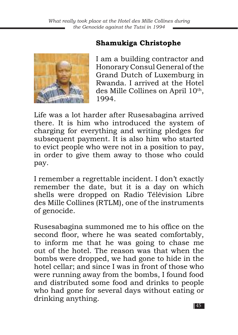

I am a building contractor and Honorary Consul General of the Grand Dutch of Luxemburg in Rwanda. I arrived at the Hotel des Mille Collines on April 10<sup>th</sup>,

**Shamukiga Christophe**

Life was a lot harder after Rusesabagina arrived there. It is him who introduced the system of charging for everything and writing pledges for subsequent payment. It is also him who started to evict people who were not in a position to pay, in order to give them away to those who could pay.

1994.

I remember a regrettable incident. I don't exactly remember the date, but it is a day on which shells were dropped on Radio Télévision Libre des Mille Collines (RTLM), one of the instruments of genocide.

Rusesabagina summoned me to his office on the second floor, where he was seated comfortably, to inform me that he was going to chase me out of the hotel. The reason was that when the bombs were dropped, we had gone to hide in the hotel cellar; and since I was in front of those who were running away from the bombs, I found food and distributed some food and drinks to people who had gone for several days without eating or drinking anything.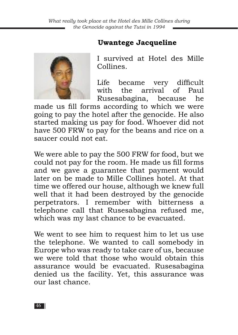

# **Uwantege Jacqueline**

I survived at Hotel des Mille Collines.

Life became very difficult with the arrival of Paul Rusesabagina, because he

made us fill forms according to which we were going to pay the hotel after the genocide. He also started making us pay for food. Whoever did not have 500 FRW to pay for the beans and rice on a saucer could not eat.

We were able to pay the 500 FRW for food, but we could not pay for the room. He made us fill forms and we gave a guarantee that payment would later on be made to Mille Collines hotel. At that time we offered our house, although we knew full well that it had been destroyed by the genocide perpetrators. I remember with bitterness a telephone call that Rusesabagina refused me, which was my last chance to be evacuated.

We went to see him to request him to let us use the telephone. We wanted to call somebody in Europe who was ready to take care of us, because we were told that those who would obtain this assurance would be evacuated. Rusesabagina denied us the facility. Yet, this assurance was our last chance.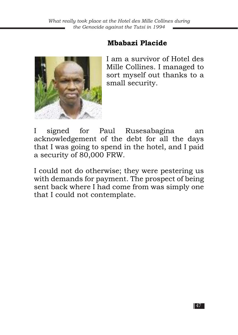

# **Mbabazi Placide**

I am a survivor of Hotel des Mille Collines. I managed to sort myself out thanks to a small security.

I signed for Paul Rusesabagina an acknowledgement of the debt for all the days that I was going to spend in the hotel, and I paid a security of 80,000 FRW.

I could not do otherwise; they were pestering us with demands for payment. The prospect of being sent back where I had come from was simply one that I could not contemplate.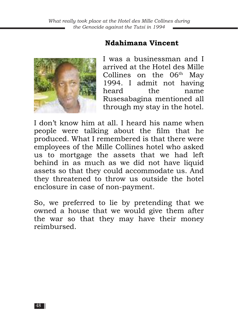

**Ndahimana Vincent**

I was a businessman and I arrived at the Hotel des Mille Collines on the 06<sup>th</sup> May 1994. I admit not having heard the name Rusesabagina mentioned all through my stay in the hotel.

I don't know him at all. I heard his name when people were talking about the film that he produced. What I remembered is that there were employees of the Mille Collines hotel who asked us to mortgage the assets that we had left behind in as much as we did not have liquid assets so that they could accommodate us. And they threatened to throw us outside the hotel enclosure in case of non-payment.

So, we preferred to lie by pretending that we owned a house that we would give them after the war so that they may have their money reimbursed.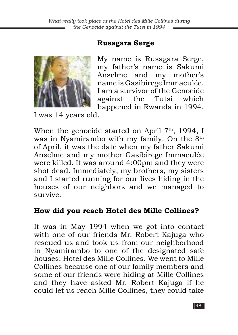### **Rusagara Serge**



My name is Rusagara Serge, my father's name is Sakumi Anselme and my mother's name is Gasibirege Immaculée. I am a survivor of the Genocide against the Tutsi which happened in Rwanda in 1994.

I was 14 years old.

When the genocide started on April  $7<sup>th</sup>$ , 1994, I was in Nyamirambo with my family. On the 8<sup>th</sup> of April, it was the date when my father Sakumi Anselme and my mother Gasibirege Immaculée were killed. It was around 4:00pm and they were shot dead. Immediately, my brothers, my sisters and I started running for our lives hiding in the houses of our neighbors and we managed to survive.

### **How did you reach Hotel des Mille Collines?**

It was in May 1994 when we got into contact with one of our friends Mr. Robert Kajuga who rescued us and took us from our neighborhood in Nyamirambo to one of the designated safe houses: Hotel des Mille Collines. We went to Mille Collines because one of our family members and some of our friends were hiding at Mille Collines and they have asked Mr. Robert Kajuga if he could let us reach Mille Collines, they could take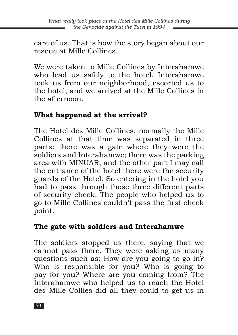care of us. That is how the story began about our rescue at Mille Collines.

We were taken to Mille Collines by Interahamwe who lead us safely to the hotel. Interahamwe took us from our neighborhood, escorted us to the hotel, and we arrived at the Mille Collines in the afternoon.

### **What happened at the arrival?**

The Hotel des Mille Collines, normally the Mille Collines at that time was separated in three parts: there was a gate where they were the soldiers and Interahamwe; there was the parking area with MINUAR; and the other part I may call the entrance of the hotel there were the security guards of the Hotel. So entering in the hotel you had to pass through those three different parts of security check. The people who helped us to go to Mille Collines couldn't pass the first check point.

### **The gate with soldiers and Interahamwe**

The soldiers stopped us there, saying that we cannot pass there. They were asking us many questions such as: How are you going to go in? Who is responsible for you? Who is going to pay for you? Where are you coming from? The Interahamwe who helped us to reach the Hotel des Mille Collies did all they could to get us in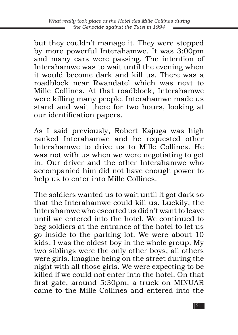but they couldn't manage it. They were stopped by more powerful Interahamwe. It was 3:00pm and many cars were passing. The intention of Interahamwe was to wait until the evening when it would become dark and kill us. There was a roadblock near Rwandatel which was next to Mille Collines. At that roadblock, Interahamwe were killing many people. Interahamwe made us stand and wait there for two hours, looking at our identification papers.

As I said previously, Robert Kajuga was high ranked Interahamwe and he requested other Interahamwe to drive us to Mille Collines. He was not with us when we were negotiating to get in. Our driver and the other Interahamwe who accompanied him did not have enough power to help us to enter into Mille Collines.

The soldiers wanted us to wait until it got dark so that the Interahamwe could kill us. Luckily, the Interahamwe who escorted us didn't want to leave until we entered into the hotel. We continued to beg soldiers at the entrance of the hotel to let us go inside to the parking lot. We were about 10 kids. I was the oldest boy in the whole group. My two siblings were the only other boys, all others were girls. Imagine being on the street during the night with all those girls. We were expecting to be killed if we could not enter into the hotel. On that first gate, around 5:30pm, a truck on MINUAR came to the Mille Collines and entered into the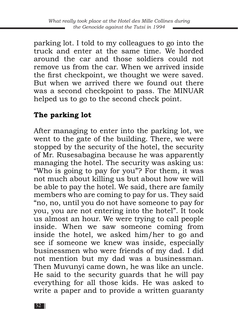parking lot. I told to my colleagues to go into the truck and enter at the same time. We horded around the car and those soldiers could not remove us from the car. When we arrived inside the first checkpoint, we thought we were saved. But when we arrived there we found out there was a second checkpoint to pass. The MINUAR helped us to go to the second check point.

# **The parking lot**

After managing to enter into the parking lot, we went to the gate of the building. There, we were stopped by the security of the hotel, the security of Mr. Rusesabagina because he was apparently managing the hotel. The security was asking us: "Who is going to pay for you"? For them, it was not much about killing us but about how we will be able to pay the hotel. We said, there are family members who are coming to pay for us. They said "no, no, until you do not have someone to pay for you, you are not entering into the hotel". It took us almost an hour. We were trying to call people inside. When we saw someone coming from inside the hotel, we asked him/her to go and see if someone we knew was inside, especially businessmen who were friends of my dad. I did not mention but my dad was a businessman. Then Muvunyi came down, he was like an uncle. He said to the security guards that he will pay everything for all those kids. He was asked to write a paper and to provide a written guaranty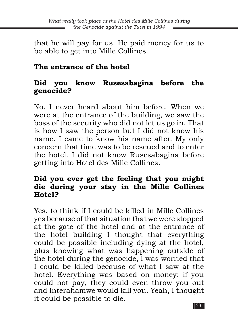that he will pay for us. He paid money for us to be able to get into Mille Collines.

### **The entrance of the hotel**

### **Did you know Rusesabagina before the genocide?**

No. I never heard about him before. When we were at the entrance of the building, we saw the boss of the security who did not let us go in. That is how I saw the person but I did not know his name. I came to know his name after. My only concern that time was to be rescued and to enter the hotel. I did not know Rusesabagina before getting into Hotel des Mille Collines.

#### **Did you ever get the feeling that you might die during your stay in the Mille Collines Hotel?**

Yes, to think if I could be killed in Mille Collines yes because of that situation that we were stopped at the gate of the hotel and at the entrance of the hotel building I thought that everything could be possible including dying at the hotel, plus knowing what was happening outside of the hotel during the genocide, I was worried that I could be killed because of what I saw at the hotel. Everything was based on money; if you could not pay, they could even throw you out and Interahamwe would kill you. Yeah, I thought it could be possible to die.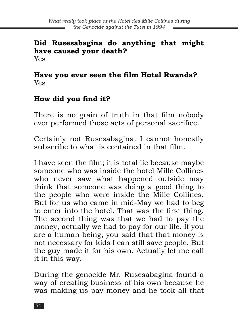### **Did Rusesabagina do anything that might have caused your death?**

Yes

### **Have you ever seen the film Hotel Rwanda?** Yes

## **How did you find it?**

There is no grain of truth in that film nobody ever performed those acts of personal sacrifice.

Certainly not Rusesabagina. I cannot honestly subscribe to what is contained in that film.

I have seen the film; it is total lie because maybe someone who was inside the hotel Mille Collines who never saw what happened outside may think that someone was doing a good thing to the people who were inside the Mille Collines. But for us who came in mid-May we had to beg to enter into the hotel. That was the first thing. The second thing was that we had to pay the money, actually we had to pay for our life. If you are a human being, you said that that money is not necessary for kids I can still save people. But the guy made it for his own. Actually let me call it in this way.

During the genocide Mr. Rusesabagina found a way of creating business of his own because he was making us pay money and he took all that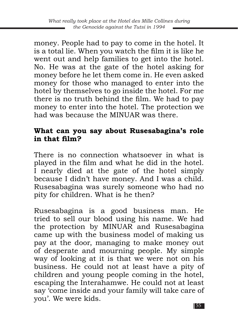money. People had to pay to come in the hotel. It is a total lie. When you watch the film it is like he went out and help families to get into the hotel. No. He was at the gate of the hotel asking for money before he let them come in. He even asked money for those who managed to enter into the hotel by themselves to go inside the hotel. For me there is no truth behind the film. We had to pay money to enter into the hotel. The protection we had was because the MINUAR was there.

#### **What can you say about Rusesabagina's role in that film?**

There is no connection whatsoever in what is played in the film and what he did in the hotel. I nearly died at the gate of the hotel simply because I didn't have money. And I was a child. Rusesabagina was surely someone who had no pity for children. What is he then?

Rusesabagina is a good business man. He tried to sell our blood using his name. We had the protection by MINUAR and Rusesabagina came up with the business model of making us pay at the door, managing to make money out of desperate and mourning people. My simple way of looking at it is that we were not on his business. He could not at least have a pity of children and young people coming in the hotel, escaping the Interahamwe. He could not at least say 'come inside and your family will take care of you'. We were kids.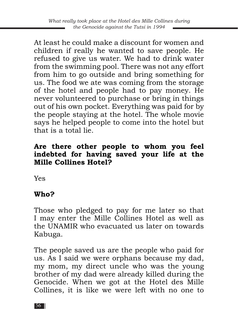At least he could make a discount for women and children if really he wanted to save people. He refused to give us water. We had to drink water from the swimming pool. There was not any effort from him to go outside and bring something for us. The food we ate was coming from the storage of the hotel and people had to pay money. He never volunteered to purchase or bring in things out of his own pocket. Everything was paid for by the people staying at the hotel. The whole movie says he helped people to come into the hotel but that is a total lie.

#### **Are there other people to whom you feel indebted for having saved your life at the Mille Collines Hotel?**

Yes

# **Who?**

Those who pledged to pay for me later so that I may enter the Mille Collines Hotel as well as the UNAMIR who evacuated us later on towards Kabuga.

The people saved us are the people who paid for us. As I said we were orphans because my dad, my mom, my direct uncle who was the young brother of my dad were already killed during the Genocide. When we got at the Hotel des Mille Collines, it is like we were left with no one to

56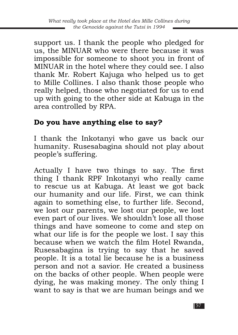support us. I thank the people who pledged for us, the MINUAR who were there because it was impossible for someone to shoot you in front of MINUAR in the hotel where they could see. I also thank Mr. Robert Kajuga who helped us to get to Mille Collines. I also thank those people who really helped, those who negotiated for us to end up with going to the other side at Kabuga in the area controlled by RPA.

### **Do you have anything else to say?**

I thank the Inkotanyi who gave us back our humanity. Rusesabagina should not play about people's suffering.

Actually I have two things to say. The first thing I thank RPF Inkotanyi who really came to rescue us at Kabuga. At least we got back our humanity and our life. First, we can think again to something else, to further life. Second, we lost our parents, we lost our people, we lost even part of our lives. We shouldn't lose all those things and have someone to come and step on what our life is for the people we lost. I say this because when we watch the film Hotel Rwanda, Rusesabagina is trying to say that he saved people. It is a total lie because he is a business person and not a savior. He created a business on the backs of other people. When people were dying, he was making money. The only thing I want to say is that we are human beings and we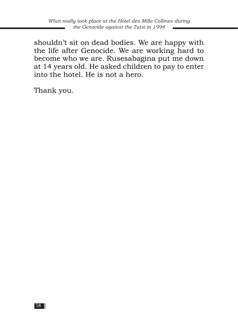shouldn't sit on dead bodies. We are happy with the life after Genocide. We are working hard to become who we are. Rusesabagina put me down at 14 years old. He asked children to pay to enter into the hotel. He is not a hero.

Thank you.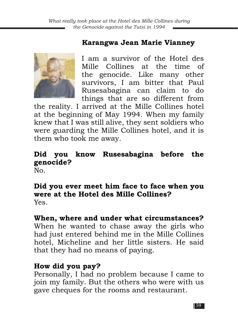### **Karangwa Jean Marie Vianney**



I am a survivor of the Hotel des Mille Collines at the time of the genocide. Like many other survivors, I am bitter that Paul Rusesabagina can claim to do things that are so different from

the reality. I arrived at the Mille Collines hotel at the beginning of May 1994. When my family knew that I was still alive, they sent soldiers who were guarding the Mille Collines hotel, and it is them who took me away.

#### **Did you know Rusesabagina before the genocide?**  $N_{\Omega}$

#### **Did you ever meet him face to face when you were at the Hotel des Mille Collines?** Yes.

#### **When, where and under what circumstances?**

When he wanted to chase away the girls who had just entered behind me in the Mille Collines hotel, Micheline and her little sisters. He said that they had no means of paying.

#### **How did you pay?**

Personally, I had no problem because I came to join my family. But the others who were with us gave cheques for the rooms and restaurant.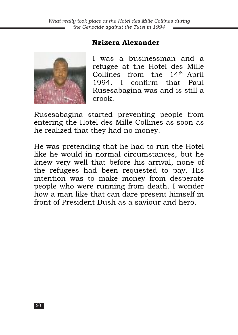### **Nzizera Alexander**



I was a businessman and a refugee at the Hotel des Mille Collines from the 14th April 1994. I confirm that Paul Rusesabagina was and is still a crook.

Rusesabagina started preventing people from entering the Hotel des Mille Collines as soon as he realized that they had no money.

He was pretending that he had to run the Hotel like he would in normal circumstances, but he knew very well that before his arrival, none of the refugees had been requested to pay. His intention was to make money from desperate people who were running from death. I wonder how a man like that can dare present himself in front of President Bush as a saviour and hero.

60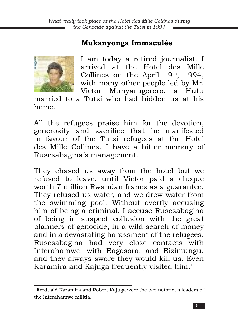### **Mukanyonga Immaculée**



I am today a retired journalist. I arrived at the Hotel des Mille Collines on the April  $19<sup>th</sup>$ , 1994, with many other people led by Mr. Victor Munyarugerero, a Hutu

married to a Tutsi who had hidden us at his home.

All the refugees praise him for the devotion, generosity and sacrifice that he manifested in favour of the Tutsi refugees at the Hotel des Mille Collines. I have a bitter memory of Rusesabagina's management.

They chased us away from the hotel but we refused to leave, until Victor paid a cheque worth 7 million Rwandan francs as a guarantee. They refused us water, and we drew water from the swimming pool. Without overtly accusing him of being a criminal, I accuse Rusesabagina of being in suspect collusion with the great planners of genocide, in a wild search of money and in a devastating harassment of the refugees. Rusesabagina had very close contacts with Interahamwe, with Bagosora, and Bizimungu, and they always swore they would kill us. Even Karamira and Kajuga frequently visited him.<sup>1</sup>

<sup>1</sup> Froduald Karamira and Robert Kajuga were the two notorious leaders of the Interahamwe militia.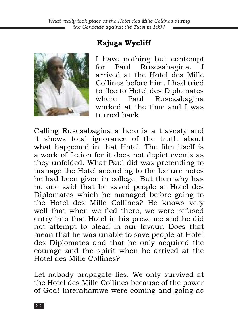

# **Kajuga Wycliff**

I have nothing but contempt for Paul Rusesabagina. arrived at the Hotel des Mille Collines before him. I had tried to flee to Hotel des Diplomates where Paul Rusesabagina worked at the time and I was turned back.

Calling Rusesabagina a hero is a travesty and it shows total ignorance of the truth about what happened in that Hotel. The film itself is a work of fiction for it does not depict events as they unfolded. What Paul did was pretending to manage the Hotel according to the lecture notes he had been given in college. But then why has no one said that he saved people at Hotel des Diplomates which he managed before going to the Hotel des Mille Collines? He knows very well that when we fled there, we were refused entry into that Hotel in his presence and he did not attempt to plead in our favour. Does that mean that he was unable to save people at Hotel des Diplomates and that he only acquired the courage and the spirit when he arrived at the Hotel des Mille Collines?

Let nobody propagate lies. We only survived at the Hotel des Mille Collines because of the power of God! Interahamwe were coming and going as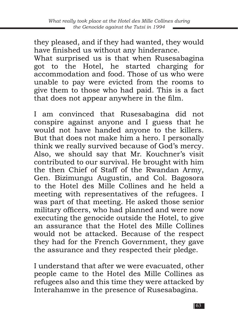they pleased, and if they had wanted, they would have finished us without any hinderance.

What surprised us is that when Rusesabagina got to the Hotel, he started charging for accommodation and food. Those of us who were unable to pay were evicted from the rooms to give them to those who had paid. This is a fact that does not appear anywhere in the film.

I am convinced that Rusesabagina did not conspire against anyone and I guess that he would not have handed anyone to the killers. But that does not make him a hero. I personally think we really survived because of God's mercy. Also, we should say that Mr. Kouchner's visit contributed to our survival. He brought with him the then Chief of Staff of the Rwandan Army, Gen. Bizimungu Augustin, and Col. Bagosora to the Hotel des Mille Collines and he held a meeting with representatives of the refugees. I was part of that meeting. He asked those senior military officers, who had planned and were now executing the genocide outside the Hotel, to give an assurance that the Hotel des Mille Collines would not be attacked. Because of the respect they had for the French Government, they gave the assurance and they respected their pledge.

I understand that after we were evacuated, other people came to the Hotel des Mille Collines as refugees also and this time they were attacked by Interahamwe in the presence of Rusesabagina.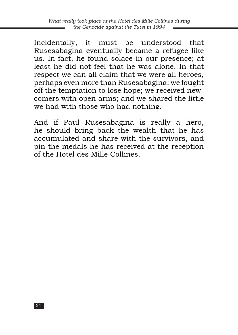Incidentally, it must be understood that Rusesabagina eventually became a refugee like us. In fact, he found solace in our presence; at least he did not feel that he was alone. In that respect we can all claim that we were all heroes, perhaps even more than Rusesabagina: we fought off the temptation to lose hope; we received newcomers with open arms; and we shared the little we had with those who had nothing.

And if Paul Rusesabagina is really a hero, he should bring back the wealth that he has accumulated and share with the survivors, and pin the medals he has received at the reception of the Hotel des Mille Collines.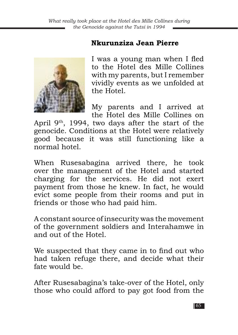### **Nkurunziza Jean Pierre**



I was a young man when I fled to the Hotel des Mille Collines with my parents, but I remember vividly events as we unfolded at the Hotel.

My parents and I arrived at the Hotel des Mille Collines on

April 9th, 1994, two days after the start of the genocide. Conditions at the Hotel were relatively good because it was still functioning like a normal hotel.

When Rusesabagina arrived there, he took over the management of the Hotel and started charging for the services. He did not exert payment from those he knew. In fact, he would evict some people from their rooms and put in friends or those who had paid him.

A constant source of insecurity was the movement of the government soldiers and Interahamwe in and out of the Hotel.

We suspected that they came in to find out who had taken refuge there, and decide what their fate would be.

After Rusesabagina's take-over of the Hotel, only those who could afford to pay got food from the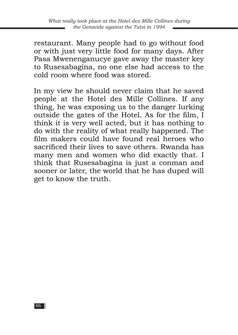restaurant. Many people had to go without food or with just very little food for many days. After Pasa Mwenenganucye gave away the master key to Rusesabagina, no one else had access to the cold room where food was stored.

In my view he should never claim that he saved people at the Hotel des Mille Collines. If any thing, he was exposing us to the danger lurking outside the gates of the Hotel. As for the film, I think it is very well acted, but it has nothing to do with the reality of what really happened. The film makers could have found real heroes who sacrificed their lives to save others. Rwanda has many men and women who did exactly that. I think that Rusesabagina is just a conman and sooner or later, the world that he has duped will get to know the truth.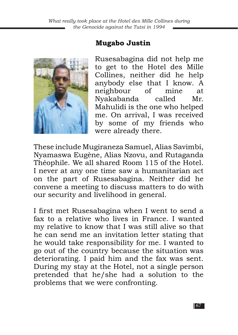

**Mugabo Justin**

Rusesabagina did not help me to get to the Hotel des Mille Collines, neither did he help anybody else that I know. A neighbour of mine at Nyakabanda called Mr. Mahulidi is the one who helped me. On arrival, I was received by some of my friends who were already there.

These include Mugiraneza Samuel, Alias Savimbi, Nyamaswa Eugène, Alias Nzovu, and Rutaganda Théophile. We all shared Room 115 of the Hotel. I never at any one time saw a humanitarian act on the part of Rusesabagina. Neither did he convene a meeting to discuss matters to do with our security and livelihood in general.

I first met Rusesabagina when I went to send a fax to a relative who lives in France. I wanted my relative to know that I was still alive so that he can send me an invitation letter stating that he would take responsibility for me. I wanted to go out of the country because the situation was deteriorating. I paid him and the fax was sent. During my stay at the Hotel, not a single person pretended that he/she had a solution to the problems that we were confronting.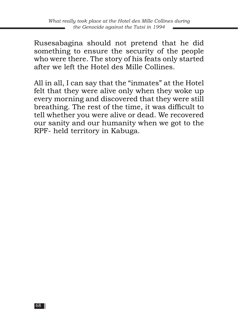Rusesabagina should not pretend that he did something to ensure the security of the people who were there. The story of his feats only started after we left the Hotel des Mille Collines.

All in all, I can say that the "inmates" at the Hotel felt that they were alive only when they woke up every morning and discovered that they were still breathing. The rest of the time, it was difficult to tell whether you were alive or dead. We recovered our sanity and our humanity when we got to the RPF- held territory in Kabuga.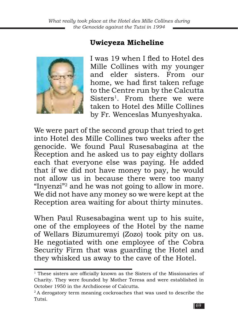### **Uwicyeza Micheline**



I was 19 when I fled to Hotel des Mille Collines with my younger and elder sisters. From our home, we had first taken refuge to the Centre run by the Calcutta Sisters<sup>1</sup>. From there we were taken to Hotel des Mille Collines by Fr. Wenceslas Munyeshyaka.

We were part of the second group that tried to get into Hotel des Mille Collines two weeks after the genocide. We found Paul Rusesabagina at the Reception and he asked us to pay eighty dollars each that everyone else was paying. He added that if we did not have money to pay, he would not allow us in because there were too many "Inyenzi"2 and he was not going to allow in more. We did not have any money so we were kept at the Reception area waiting for about thirty minutes.

When Paul Rusesabagina went up to his suite, one of the employees of the Hotel by the name of Wellars Bizumuremyi (Zozo) took pity on us. He negotiated with one employee of the Cobra Security Firm that was guarding the Hotel and they whisked us away to the cave of the Hotel.

<sup>&</sup>lt;sup>1</sup> These sisters are officially known as the Sisters of the Missionaries of Charity. They were founded by Mother Teresa and were established in October 1950 in the Archdiocese of Calcutta.

<sup>&</sup>lt;sup>2</sup>A derogatory term meaning cockroaches that was used to describe the Tutsi.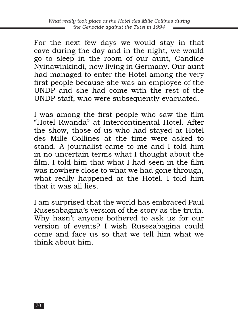For the next few days we would stay in that cave during the day and in the night, we would go to sleep in the room of our aunt, Candide Nyinawinkindi, now living in Germany. Our aunt had managed to enter the Hotel among the very first people because she was an employee of the UNDP and she had come with the rest of the UNDP staff, who were subsequently evacuated.

I was among the first people who saw the film "Hotel Rwanda" at Intercontinental Hotel. After the show, those of us who had stayed at Hotel des Mille Collines at the time were asked to stand. A journalist came to me and I told him in no uncertain terms what I thought about the film. I told him that what I had seen in the film was nowhere close to what we had gone through, what really happened at the Hotel. I told him that it was all lies.

I am surprised that the world has embraced Paul Rusesabagina's version of the story as the truth. Why hasn't anyone bothered to ask us for our version of events? I wish Rusesabagina could come and face us so that we tell him what we think about him.

70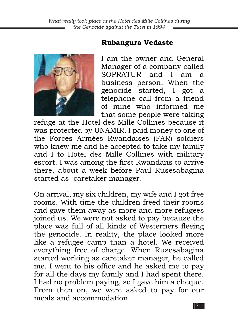

## **Rubangura Vedaste**

I am the owner and General Manager of a company called SOPRATUR and I am a business person. When the genocide started, I got a telephone call from a friend of mine who informed me that some people were taking

refuge at the Hotel des Mille Collines because it was protected by UNAMIR. I paid money to one of the Forces Armées Rwandaises (FAR) soldiers who knew me and he accepted to take my family and I to Hotel des Mille Collines with military escort. I was among the first Rwandans to arrive there, about a week before Paul Rusesabagina started as caretaker manager.

On arrival, my six children, my wife and I got free rooms. With time the children freed their rooms and gave them away as more and more refugees joined us. We were not asked to pay because the place was full of all kinds of Westerners fleeing the genocide. In reality, the place looked more like a refugee camp than a hotel. We received everything free of charge. When Rusesabagina started working as caretaker manager, he called me. I went to his office and he asked me to pay for all the days my family and I had spent there. I had no problem paying, so I gave him a cheque. From then on, we were asked to pay for our meals and accommodation.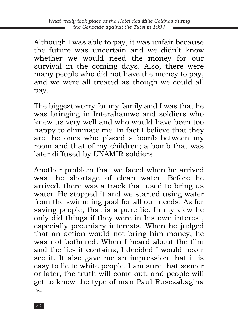Although I was able to pay, it was unfair because the future was uncertain and we didn't know whether we would need the money for our survival in the coming days. Also, there were many people who did not have the money to pay, and we were all treated as though we could all pay.

The biggest worry for my family and I was that he was bringing in Interahamwe and soldiers who knew us very well and who would have been too happy to eliminate me. In fact I believe that they are the ones who placed a bomb between my room and that of my children; a bomb that was later diffused by UNAMIR soldiers.

Another problem that we faced when he arrived was the shortage of clean water. Before he arrived, there was a track that used to bring us water. He stopped it and we started using water from the swimming pool for all our needs. As for saving people, that is a pure lie. In my view he only did things if they were in his own interest, especially pecuniary interests. When he judged that an action would not bring him money, he was not bothered. When I heard about the film and the lies it contains, I decided I would never see it. It also gave me an impression that it is easy to lie to white people. I am sure that sooner or later, the truth will come out, and people will get to know the type of man Paul Rusesabagina is.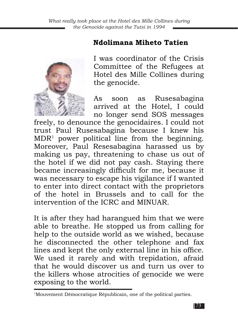## **Ndolimana Miheto Tatien**



I was coordinator of the Crisis Committee of the Refugees at Hotel des Mille Collines during the genocide.

As soon as Rusesabagina arrived at the Hotel, I could no longer send SOS messages

freely, to denounce the genocidaires. I could not trust Paul Rusesabagina because I knew his  $MDR<sup>1</sup>$  power political line from the beginning. Moreover, Paul Resesabagina harassed us by making us pay, threatening to chase us out of the hotel if we did not pay cash. Staying there became increasingly difficult for me, because it was necessary to escape his vigilance if I wanted to enter into direct contact with the proprietors of the hotel in Brussels and to call for the intervention of the ICRC and MINUAR.

It is after they had harangued him that we were able to breathe. He stopped us from calling for help to the outside world as we wished, because he disconnected the other telephone and fax lines and kept the only external line in his office. We used it rarely and with trepidation, afraid that he would discover us and turn us over to the killers whose atrocities of genocide we were exposing to the world.

<sup>1</sup>Mouvement Démocratique Républicain, one of the political parties.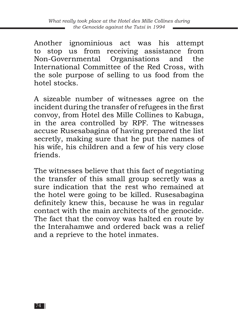Another ignominious act was his attempt to stop us from receiving assistance from Non-Governmental Organisations and the International Committee of the Red Cross, with the sole purpose of selling to us food from the hotel stocks.

A sizeable number of witnesses agree on the incident during the transfer of refugees in the first convoy, from Hotel des Mille Collines to Kabuga, in the area controlled by RPF. The witnesses accuse Rusesabagina of having prepared the list secretly, making sure that he put the names of his wife, his children and a few of his very close friends.

The witnesses believe that this fact of negotiating the transfer of this small group secretly was a sure indication that the rest who remained at the hotel were going to be killed. Rusesabagina definitely knew this, because he was in regular contact with the main architects of the genocide. The fact that the convoy was halted en route by the Interahamwe and ordered back was a relief and a reprieve to the hotel inmates.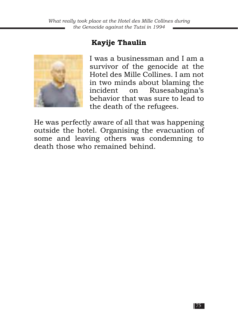# **Kayije Thaulin**



I was a businessman and I am a survivor of the genocide at the Hotel des Mille Collines. I am not in two minds about blaming the incident on Rusesabagina's behavior that was sure to lead to the death of the refugees.

He was perfectly aware of all that was happening outside the hotel. Organising the evacuation of some and leaving others was condemning to death those who remained behind.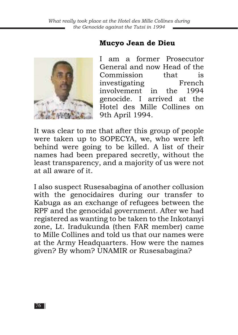

## **Mucyo Jean de Dieu**

am a former Prosecutor General and now Head of the Commission that is investigating French involvement in the 1994 genocide. I arrived at the Hotel des Mille Collines on 9th April 1994.

It was clear to me that after this group of people were taken up to SOPECYA, we, who were left behind were going to be killed. A list of their names had been prepared secretly, without the least transparency, and a majority of us were not at all aware of it.

I also suspect Rusesabagina of another collusion with the genocidaires during our transfer to Kabuga as an exchange of refugees between the RPF and the genocidal government. After we had registered as wanting to be taken to the Inkotanyi zone, Lt. Iradukunda (then FAR member) came to Mille Collines and told us that our names were at the Army Headquarters. How were the names given? By whom? UNAMIR or Rusesabagina?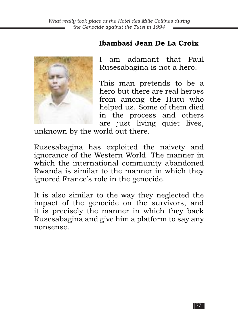

I am adamant that Paul Rusesabagina is not a hero.

**Ibambasi Jean De La Croix** 

This man pretends to be a hero but there are real heroes from among the Hutu who helped us. Some of them died in the process and others are just living quiet lives.

unknown by the world out there.

Rusesabagina has exploited the naivety and ignorance of the Western World. The manner in which the international community abandoned Rwanda is similar to the manner in which they ignored France's role in the genocide.

It is also similar to the way they neglected the impact of the genocide on the survivors, and it is precisely the manner in which they back Rusesabagina and give him a platform to say any nonsense.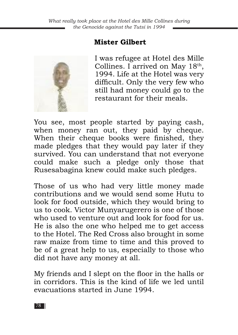### **Mister Gilbert**



I was refugee at Hotel des Mille Collines. I arrived on May 18th, 1994. Life at the Hotel was very difficult. Only the very few who still had money could go to the restaurant for their meals.

You see, most people started by paying cash, when money ran out, they paid by cheque. When their cheque books were finished, they made pledges that they would pay later if they survived. You can understand that not everyone could make such a pledge only those that Rusesabagina knew could make such pledges.

Those of us who had very little money made contributions and we would send some Hutu to look for food outside, which they would bring to us to cook. Victor Munyarugerero is one of those who used to venture out and look for food for us. He is also the one who helped me to get access to the Hotel. The Red Cross also brought in some raw maize from time to time and this proved to be of a great help to us, especially to those who did not have any money at all.

My friends and I slept on the floor in the halls or in corridors. This is the kind of life we led until evacuations started in June 1994.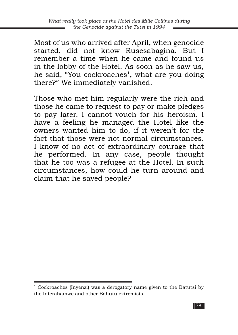Most of us who arrived after April, when genocide started, did not know Rusesabagina. But I remember a time when he came and found us in the lobby of the Hotel. As soon as he saw us, he said, "You cockroaches<sup>1</sup>, what are you doing there?" We immediately vanished.

Those who met him regularly were the rich and those he came to request to pay or make pledges to pay later. I cannot vouch for his heroism. I have a feeling he managed the Hotel like the owners wanted him to do, if it weren't for the fact that those were not normal circumstances. I know of no act of extraordinary courage that he performed. In any case, people thought that he too was a refugee at the Hotel. In such circumstances, how could he turn around and claim that he saved people?

<sup>1</sup> Cockroaches (Inyenzi) was a derogatory name given to the Batutsi by the Interahamwe and other Bahutu extremists.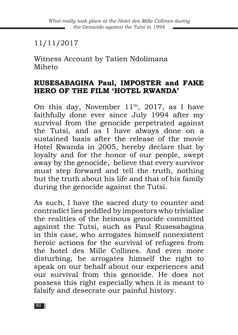# 11/11/2017

Witness Account by Tatien Ndolimana Miheto

### **RUSESABAGINA Paul, IMPOSTER and FAKE HERO OF THE FILM 'HOTEL RWANDA'**

On this day, November  $11<sup>th</sup>$ , 2017, as I have faithfully done ever since July 1994 after my survival from the genocide perpetrated against the Tutsi, and as I have always done on a sustained basis after the release of the movie Hotel Rwanda in 2005, hereby declare that by loyalty and for the honor of our people, swept away by the genocide, believe that every survivor must step forward and tell the truth, nothing but the truth about his life and that of his family during the genocide against the Tutsi.

As such, I have the sacred duty to counter and contradict lies peddled by impostors who trivialize the realities of the heinous genocide committed against the Tutsi, such as Paul Rusesabagina in this case, who arrogates himself nonexistent heroic actions for the survival of refugees from the hotel des Mille Collines. And even more disturbing, he arrogates himself the right to speak on our behalf about our experiences and our survival from this genocide. He does not possess this right especially when it is meant to falsify and desecrate our painful history.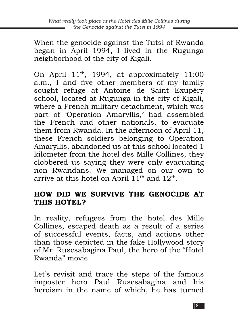When the genocide against the Tutsi of Rwanda began in April 1994, I lived in the Rugunga neighborhood of the city of Kigali.

On April 11<sup>th</sup>, 1994, at approximately 11:00 a.m., I and five other members of my family sought refuge at Antoine de Saint Exupéry school, located at Rugunga in the city of Kigali, where a French military detachment, which was part of 'Operation Amaryllis,' had assembled the French and other nationals, to evacuate them from Rwanda. In the afternoon of April 11, these French soldiers belonging to Operation Amaryllis, abandoned us at this school located 1 kilometer from the hotel des Mille Collines, they clobbered us saying they were only evacuating non Rwandans. We managed on our own to arrive at this hotel on April  $11<sup>th</sup>$  and  $12<sup>th</sup>$ .

### **HOW DID WE SURVIVE THE GENOCIDE AT THIS HOTEL?**

In reality, refugees from the hotel des Mille Collines, escaped death as a result of a series of successful events, facts, and actions other than those depicted in the fake Hollywood story of Mr. Rusesabagina Paul, the hero of the "Hotel Rwanda" movie.

Let's revisit and trace the steps of the famous imposter hero Paul Rusesabagina and his heroism in the name of which, he has turned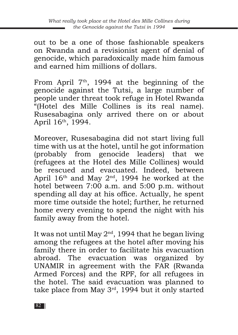out to be a one of those fashionable speakers on Rwanda and a revisionist agent of denial of genocide, which paradoxically made him famous and earned him millions of dollars.

From April  $7<sup>th</sup>$ , 1994 at the beginning of the genocide against the Tutsi, a large number of people under threat took refuge in Hotel Rwanda "(Hotel des Mille Collines is its real name). Rusesabagina only arrived there on or about April 16th, 1994.

Moreover, Rusesabagina did not start living full time with us at the hotel, until he got information (probably from genocide leaders) that we (refugees at the Hotel des Mille Collines) would be rescued and evacuated. Indeed, between April 16<sup>th</sup> and May 2<sup>nd</sup>, 1994 he worked at the hotel between 7:00 a.m. and 5:00 p.m. without spending all day at his office. Actually, he spent more time outside the hotel; further, he returned home every evening to spend the night with his family away from the hotel.

It was not until May  $2<sup>nd</sup>$ , 1994 that he began living among the refugees at the hotel after moving his family there in order to facilitate his evacuation abroad. The evacuation was organized by UNAMIR in agreement with the FAR (Rwanda Armed Forces) and the RPF, for all refugees in the hotel. The said evacuation was planned to take place from May 3rd, 1994 but it only started

82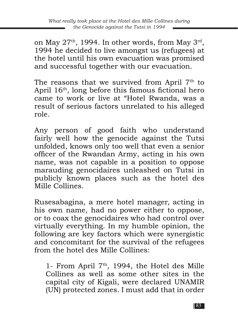on May  $27<sup>th</sup>$ , 1994. In other words, from May  $3<sup>rd</sup>$ , 1994 he decided to live amongst us (refugees) at the hotel until his own evacuation was promised and successful together with our evacuation.

The reasons that we survived from April  $7<sup>th</sup>$  to April  $16<sup>th</sup>$ , long before this famous fictional hero came to work or live at "Hotel Rwanda, was a result of serious factors unrelated to his alleged role.

Any person of good faith who understand fairly well how the genocide against the Tutsi unfolded, knows only too well that even a senior officer of the Rwandan Army, acting in his own name, was not capable in a position to oppose marauding genocidaires unleashed on Tutsi in publicly known places such as the hotel des Mille Collines.

Rusesabagina, a mere hotel manager, acting in his own name, had no power either to oppose, or to coax the genocidaires who had control over virtually everything. In my humble opinion, the following are key factors which were synergistic and concomitant for the survival of the refugees from the hotel des Mille Collines:

1- From April 7th, 1994, the Hotel des Mille Collines as well as some other sites in the capital city of Kigali, were declared UNAMIR (UN) protected zones. I must add that in order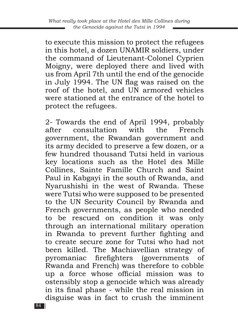to execute this mission to protect the refugees in this hotel, a dozen UNAMIR soldiers, under the command of Lieutenant-Colonel Cyprien Moigny, were deployed there and lived with us from April 7th until the end of the genocide in July 1994. The UN flag was raised on the roof of the hotel, and UN armored vehicles were stationed at the entrance of the hotel to protect the refugees.

2- Towards the end of April 1994, probably<br>after consultation with the French after consultation government, the Rwandan government and its army decided to preserve a few dozen, or a few hundred thousand Tutsi held in various key locations such as the Hotel des Mille Collines, Sainte Famille Church and Saint Paul in Kabgayi in the south of Rwanda, and Nyarushishi in the west of Rwanda. These were Tutsi who were supposed to be presented to the UN Security Council by Rwanda and French governments, as people who needed to be rescued on condition it was only through an international military operation in Rwanda to prevent further fighting and to create secure zone for Tutsi who had not been killed. The Machiavellian strategy of pyromaniac firefighters (governments of Rwanda and French) was therefore to cobble up a force whose official mission was to ostensibly stop a genocide which was already in its final phase - while the real mission in disguise was in fact to crush the imminent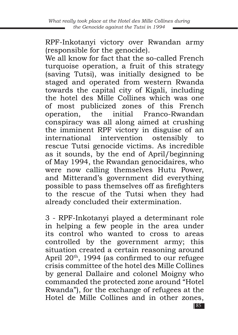RPF-Inkotanyi victory over Rwandan army (responsible for the genocide).

We all know for fact that the so-called French turquoise operation, a fruit of this strategy (saving Tutsi), was initially designed to be staged and operated from western Rwanda towards the capital city of Kigali, including the hotel des Mille Collines which was one of most publicized zones of this French the initial Franco-Rwandan conspiracy was all along aimed at crushing the imminent RPF victory in disguise of an international intervention ostensibly to rescue Tutsi genocide victims. As incredible as it sounds, by the end of April/beginning of May 1994, the Rwandan genocidaires, who were now calling themselves Hutu Power, and Mitterand's government did everything possible to pass themselves off as firefighters to the rescue of the Tutsi when they had already concluded their extermination.

3 - RPF-Inkotanyi played a determinant role in helping a few people in the area under its control who wanted to cross to areas controlled by the government army; this situation created a certain reasoning around April 20th, 1994 (as confirmed to our refugee crisis committee of the hotel des Mille Collines by general Dallaire and colonel Moigny who commanded the protected zone around "Hotel Rwanda"), for the exchange of refugees at the Hotel de Mille Collines and in other zones,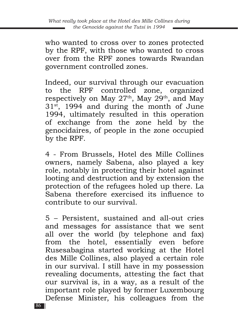who wanted to cross over to zones protected by the RPF, with those who wanted to cross over from the RPF zones towards Rwandan government controlled zones.

Indeed, our survival through our evacuation to the RPF controlled zone, organized respectively on May  $27<sup>th</sup>$ , May  $29<sup>th</sup>$ , and May 31st, 1994 and during the month of June 1994, ultimately resulted in this operation of exchange from the zone held by the genocidaires, of people in the zone occupied by the RPF.

4 - From Brussels, Hotel des Mille Collines owners, namely Sabena, also played a key role, notably in protecting their hotel against looting and destruction and by extension the protection of the refugees holed up there. La Sabena therefore exercised its influence to contribute to our survival.

5 – Persistent, sustained and all-out cries and messages for assistance that we sent all over the world (by telephone and fax) from the hotel, essentially even before Rusesabagina started working at the Hotel des Mille Collines, also played a certain role in our survival. I still have in my possession revealing documents, attesting the fact that our survival is, in a way, as a result of the important role played by former Luxembourg Defense Minister, his colleagues from the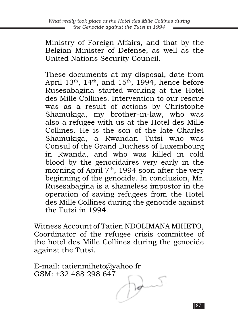Ministry of Foreign Affairs, and that by the Belgian Minister of Defense, as well as the United Nations Security Council.

These documents at my disposal, date from April  $13<sup>th</sup>$ ,  $14<sup>th</sup>$ , and  $15<sup>th</sup>$ , 1994, hence before Rusesabagina started working at the Hotel des Mille Collines. Intervention to our rescue was as a result of actions by Christophe Shamukiga, my brother-in-law, who was also a refugee with us at the Hotel des Mille Collines. He is the son of the late Charles Shamukiga, a Rwandan Tutsi who was Consul of the Grand Duchess of Luxembourg in Rwanda, and who was killed in cold blood by the genocidaires very early in the morning of April 7<sup>th</sup>, 1994 soon after the very beginning of the genocide. In conclusion, Mr. Rusesabagina is a shameless impostor in the operation of saving refugees from the Hotel des Mille Collines during the genocide against the Tutsi in 1994.

Witness Account of Tatien NDOLIMANA MIHETO, Coordinator of the refugee crisis committee of the hotel des Mille Collines during the genocide against the Tutsi.

E-mail: tatienmiheto@yahoo.fr GSM: +32 488 298 647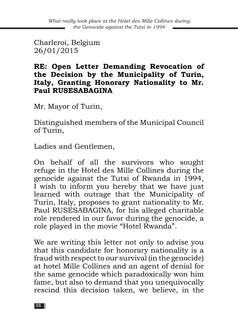Charleroi, Belgium 26/01/2015

### **RE: Open Letter Demanding Revocation of the Decision by the Municipality of Turin, Italy, Granting Honorary Nationality to Mr. Paul RUSESABAGINA**

Mr. Mayor of Turin,

Distinguished members of the Municipal Council of Turin,

Ladies and Gentlemen,

On behalf of all the survivors who sought refuge in the Hotel des Mille Collines during the genocide against the Tutsi of Rwanda in 1994, I wish to inform you hereby that we have just learned with outrage that the Municipality of Turin, Italy, proposes to grant nationality to Mr. Paul RUSESABAGINA, for his alleged charitable role rendered in our favor during the genocide, a role played in the movie "Hotel Rwanda".

We are writing this letter not only to advise you that this candidate for honorary nationality is a fraud with respect to our survival (in the genocide) at hotel Mille Collines and an agent of denial for the same genocide which paradoxically won him fame, but also to demand that you unequivocally rescind this decision taken, we believe, in the

88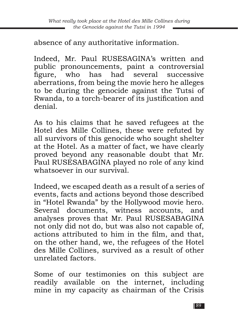absence of any authoritative information.

Indeed, Mr. Paul RUSESAGINA's written and public pronouncements, paint a controversial had several successive aberrations, from being the movie hero he alleges to be during the genocide against the Tutsi of Rwanda, to a torch-bearer of its justification and denial.

As to his claims that he saved refugees at the Hotel des Mille Collines, these were refuted by all survivors of this genocide who sought shelter at the Hotel. As a matter of fact, we have clearly proved beyond any reasonable doubt that Mr. Paul RUSESABAGINA played no role of any kind whatsoever in our survival.

Indeed, we escaped death as a result of a series of events, facts and actions beyond those described in "Hotel Rwanda" by the Hollywood movie hero. Several documents, witness accounts, and analyses proves that Mr. Paul RUSESABAGINA not only did not do, but was also not capable of, actions attributed to him in the film, and that, on the other hand, we, the refugees of the Hotel des Mille Collines, survived as a result of other unrelated factors.

Some of our testimonies on this subject are readily available on the internet, including mine in my capacity as chairman of the Crisis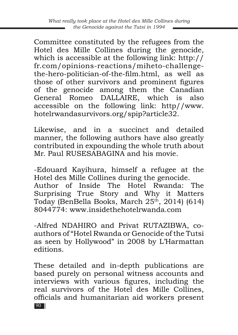Committee constituted by the refugees from the Hotel des Mille Collines during the genocide, which is accessible at the following link: http:// fr.com/opinions-reactions/miheto-challenge $the-hero-politician-of-the-film.html$ , as well as those of other survivors and prominent figures of the genocide among them the Canadian General Romeo DALLAIRE, which is also accessible on the following link: http//www. hotelrwandasurvivors.org/spip?article32.

Likewise, and in a succinct and detailed manner, the following authors have also greatly contributed in expounding the whole truth about Mr. Paul RUSESABAGINA and his movie.

-Edouard Kayihura, himself a refugee at the Hotel des Mille Collines during the genocide. Author of Inside The Hotel Rwanda: The Surprising True Story and Why it Matters Today (BenBella Books, March 25<sup>th</sup>, 2014) (614) 8044774: www.insidethehotelrwanda.com

-Alfred NDAHIRO and Privat RUTAZIBWA, coauthors of "Hotel Rwanda or Genocide of the Tutsi as seen by Hollywood" in 2008 by L'Harmattan editions.

These detailed and in-depth publications are based purely on personal witness accounts and interviews with various figures, including the real survivors of the Hotel des Mille Collines, officials and humanitarian aid workers present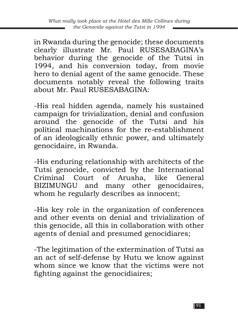in Rwanda during the genocide; these documents clearly illustrate Mr. Paul RUSESABAGINA's behavior during the genocide of the Tutsi in 1994, and his conversion today, from movie hero to denial agent of the same genocide. These documents notably reveal the following traits about Mr. Paul RUSESABAGINA:

-His real hidden agenda, namely his sustained campaign for trivialization, denial and confusion around the genocide of the Tutsi and his political machinations for the re-establishment of an ideologically ethnic power, and ultimately genocidaire, in Rwanda.

-His enduring relationship with architects of the Tutsi genocide, convicted by the International Criminal Court of Arusha, like General BIZIMUNGU and many other genocidaires, whom he regularly describes as innocent;

-His key role in the organization of conferences and other events on denial and trivialization of this genocide, all this in collaboration with other agents of denial and presumed genocidiares;

-The legitimation of the extermination of Tutsi as an act of self-defense by Hutu we know against whom since we know that the victims were not fighting against the genocidiaires;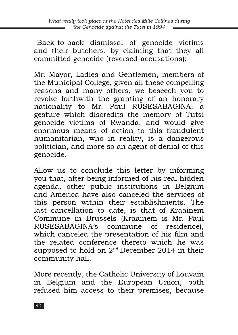-Back-to-back dismissal of genocide victims and their butchers, by claiming that they all committed genocide (reversed-accusations);

Mr. Mayor, Ladies and Gentlemen, members of the Municipal College, given all these compelling reasons and many others, we beseech you to revoke forthwith the granting of an honorary nationality to Mr. Paul RUSESABAGINA, a gesture which discredits the memory of Tutsi genocide victims of Rwanda, and would give enormous means of action to this fraudulent humanitarian, who in reality, is a dangerous politician, and more so an agent of denial of this genocide.

Allow us to conclude this letter by informing you that, after being informed of his real hidden agenda, other public institutions in Belgium and America have also canceled the services of this person within their establishments. The last cancellation to date, is that of Kraainem Commune in Brussels (Kraainem is Mr. Paul RUSESABAGINA's commune of residence), which canceled the presentation of his film and the related conference thereto which he was supposed to hold on  $2<sup>nd</sup>$  December 2014 in their community hall.

More recently, the Catholic University of Louvain in Belgium and the European Union, both refused him access to their premises, because

92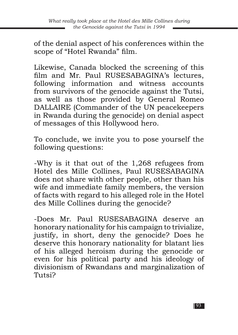of the denial aspect of his conferences within the scope of "Hotel Rwanda" film.

Likewise, Canada blocked the screening of this film and Mr. Paul RUSESABAGINA's lectures, following information and witness accounts from survivors of the genocide against the Tutsi, as well as those provided by General Romeo DALLAIRE (Commander of the UN peacekeepers in Rwanda during the genocide) on denial aspect of messages of this Hollywood hero.

To conclude, we invite you to pose yourself the following questions:

-Why is it that out of the 1,268 refugees from Hotel des Mille Collines, Paul RUSESABAGINA does not share with other people, other than his wife and immediate family members, the version of facts with regard to his alleged role in the Hotel des Mille Collines during the genocide?

-Does Mr. Paul RUSESABAGINA deserve an honorary nationality for his campaign to trivialize, justify, in short, deny the genocide? Does he deserve this honorary nationality for blatant lies of his alleged heroism during the genocide or even for his political party and his ideology of divisionism of Rwandans and marginalization of Tutsi?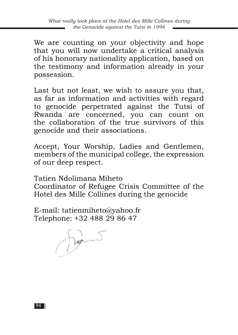We are counting on your objectivity and hope that you will now undertake a critical analysis of his honorary nationality application, based on the testimony and information already in your possession.

Last but not least, we wish to assure you that, as far as information and activities with regard to genocide perpetrated against the Tutsi of Rwanda are concerned, you can count on the collaboration of the true survivors of this genocide and their associations.

Accept, Your Worship, Ladies and Gentlemen, members of the municipal college, the expression of our deep respect.

Tatien Ndolimana Miheto

Coordinator of Refugee Crisis Committee of the Hotel des Mille Collines during the genocide

E-mail: tatienmiheto@yahoo.fr Telephone: +32 488 29 86 47

Found